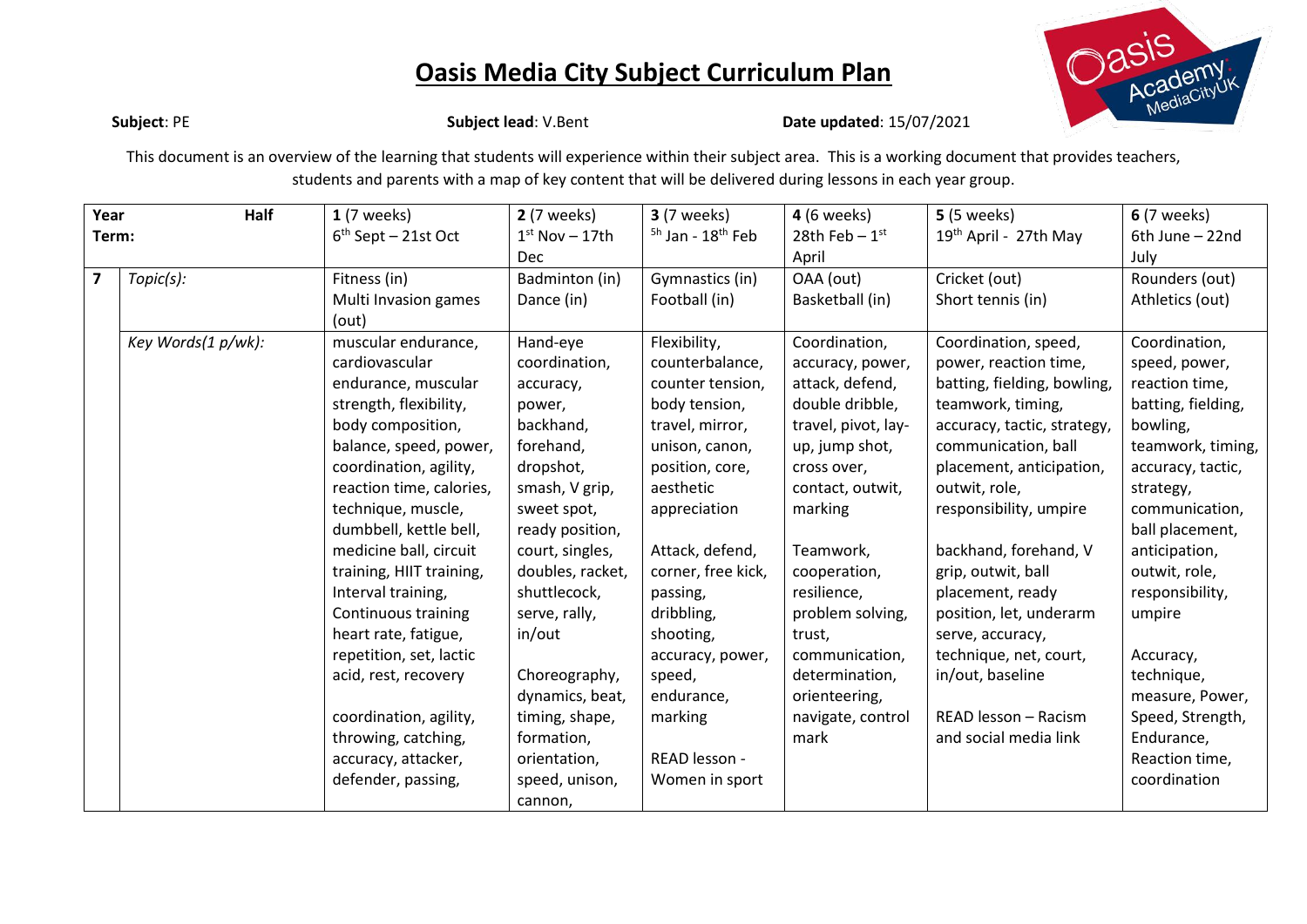

**Subject**: PE **Subject lead**: V.Bent **Date updated**: 15/07/2021

This document is an overview of the learning that students will experience within their subject area. This is a working document that provides teachers, students and parents with a map of key content that will be delivered during lessons in each year group.

| Year  | Half               | $1(7 \text{ weeks})$     | <b>2</b> (7 weeks) | <b>3</b> (7 weeks)                       | <b>4</b> (6 weeks)          | <b>5</b> (5 weeks)                | <b>6</b> (7 weeks) |
|-------|--------------------|--------------------------|--------------------|------------------------------------------|-----------------------------|-----------------------------------|--------------------|
| Term: |                    | $6th$ Sept – 21st Oct    | $1st$ Nov - 17th   | <sup>5h</sup> Jan - 18 <sup>th</sup> Feb | 28th Feb $-1$ <sup>st</sup> | 19 <sup>th</sup> April - 27th May | 6th June - 22nd    |
|       |                    |                          | <b>Dec</b>         |                                          | April                       |                                   | July               |
| 7     | Topic(s):          | Fitness (in)             | Badminton (in)     | Gymnastics (in)                          | OAA (out)                   | Cricket (out)                     | Rounders (out)     |
|       |                    | Multi Invasion games     | Dance (in)         | Football (in)                            | Basketball (in)             | Short tennis (in)                 | Athletics (out)    |
|       |                    | (out)                    |                    |                                          |                             |                                   |                    |
|       | Key Words(1 p/wk): | muscular endurance,      | Hand-eye           | Flexibility,                             | Coordination,               | Coordination, speed,              | Coordination,      |
|       |                    | cardiovascular           | coordination,      | counterbalance,                          | accuracy, power,            | power, reaction time,             | speed, power,      |
|       |                    | endurance, muscular      | accuracy,          | counter tension,                         | attack, defend,             | batting, fielding, bowling,       | reaction time,     |
|       |                    | strength, flexibility,   | power,             | body tension,                            | double dribble,             | teamwork, timing,                 | batting, fielding, |
|       |                    | body composition,        | backhand,          | travel, mirror,                          | travel, pivot, lay-         | accuracy, tactic, strategy,       | bowling,           |
|       |                    | balance, speed, power,   | forehand,          | unison, canon,                           | up, jump shot,              | communication, ball               | teamwork, timing,  |
|       |                    | coordination, agility,   | dropshot,          | position, core,                          | cross over,                 | placement, anticipation,          | accuracy, tactic,  |
|       |                    | reaction time, calories, | smash, V grip,     | aesthetic                                | contact, outwit,            | outwit, role,                     | strategy,          |
|       |                    | technique, muscle,       | sweet spot,        | appreciation                             | marking                     | responsibility, umpire            | communication,     |
|       |                    | dumbbell, kettle bell,   | ready position,    |                                          |                             |                                   | ball placement,    |
|       |                    | medicine ball, circuit   | court, singles,    | Attack, defend,                          | Teamwork,                   | backhand, forehand, V             | anticipation,      |
|       |                    | training, HIIT training, | doubles, racket,   | corner, free kick,                       | cooperation,                | grip, outwit, ball                | outwit, role,      |
|       |                    | Interval training,       | shuttlecock,       | passing,                                 | resilience,                 | placement, ready                  | responsibility,    |
|       |                    | Continuous training      | serve, rally,      | dribbling,                               | problem solving,            | position, let, underarm           | umpire             |
|       |                    | heart rate, fatigue,     | in/out             | shooting,                                | trust,                      | serve, accuracy,                  |                    |
|       |                    | repetition, set, lactic  |                    | accuracy, power,                         | communication,              | technique, net, court,            | Accuracy,          |
|       |                    | acid, rest, recovery     | Choreography,      | speed,                                   | determination,              | in/out, baseline                  | technique,         |
|       |                    |                          | dynamics, beat,    | endurance,                               | orienteering,               |                                   | measure, Power,    |
|       |                    | coordination, agility,   | timing, shape,     | marking                                  | navigate, control           | READ lesson - Racism              | Speed, Strength,   |
|       |                    | throwing, catching,      | formation,         |                                          | mark                        | and social media link             | Endurance,         |
|       |                    | accuracy, attacker,      | orientation,       | READ lesson -                            |                             |                                   | Reaction time,     |
|       |                    | defender, passing,       | speed, unison,     | Women in sport                           |                             |                                   | coordination       |
|       |                    |                          | cannon,            |                                          |                             |                                   |                    |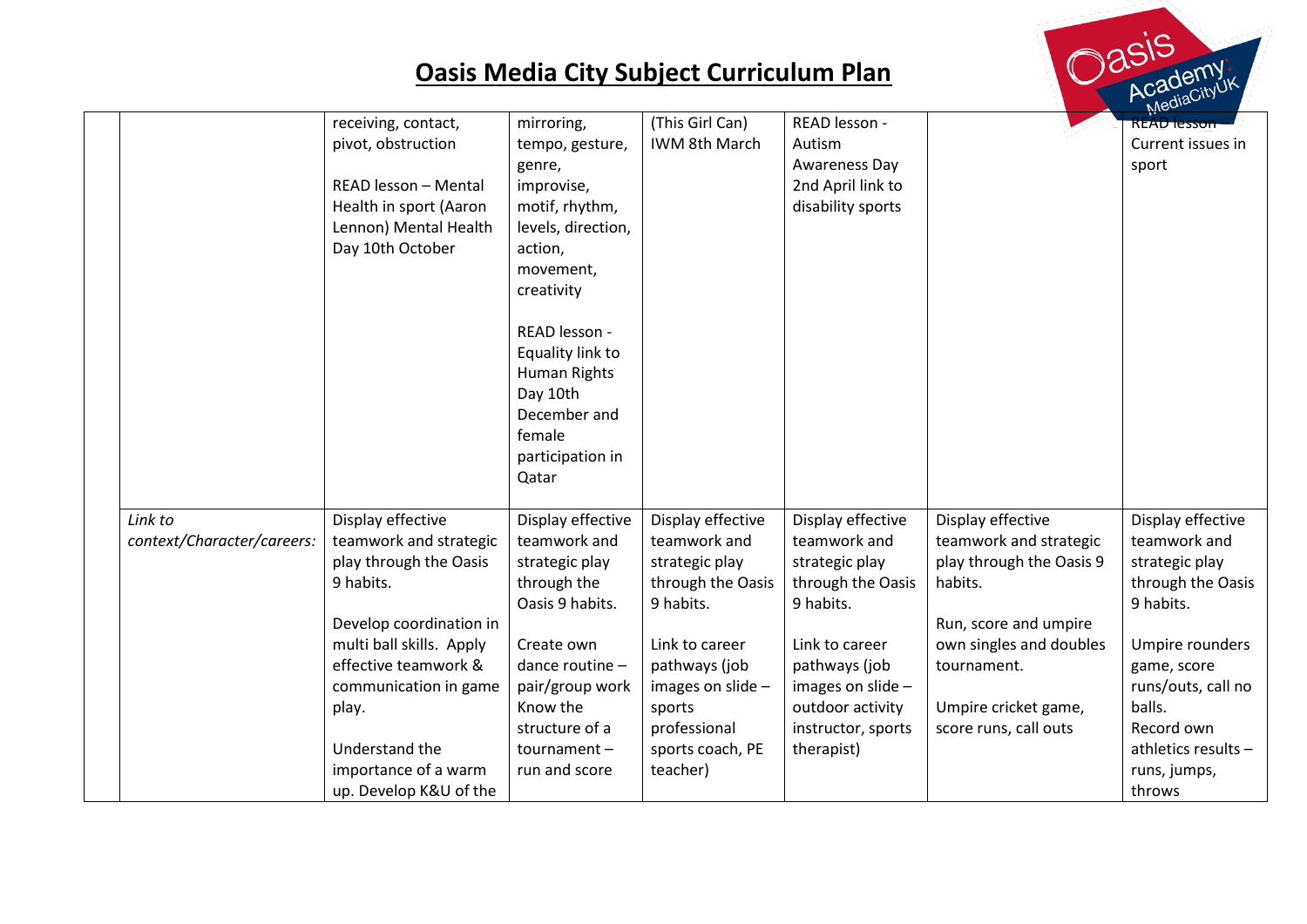

|                            | receiving, contact,      | mirroring,         | (This Girl Can)   | READ lesson -      |                          | <b>READ</b> resson  |
|----------------------------|--------------------------|--------------------|-------------------|--------------------|--------------------------|---------------------|
|                            | pivot, obstruction       | tempo, gesture,    | IWM 8th March     | Autism             |                          | Current issues in   |
|                            |                          | genre,             |                   | Awareness Day      |                          | sport               |
|                            | READ lesson - Mental     | improvise,         |                   | 2nd April link to  |                          |                     |
|                            | Health in sport (Aaron   | motif, rhythm,     |                   | disability sports  |                          |                     |
|                            | Lennon) Mental Health    | levels, direction, |                   |                    |                          |                     |
|                            | Day 10th October         | action,            |                   |                    |                          |                     |
|                            |                          |                    |                   |                    |                          |                     |
|                            |                          | movement,          |                   |                    |                          |                     |
|                            |                          | creativity         |                   |                    |                          |                     |
|                            |                          | READ lesson -      |                   |                    |                          |                     |
|                            |                          | Equality link to   |                   |                    |                          |                     |
|                            |                          | Human Rights       |                   |                    |                          |                     |
|                            |                          | Day 10th           |                   |                    |                          |                     |
|                            |                          | December and       |                   |                    |                          |                     |
|                            |                          | female             |                   |                    |                          |                     |
|                            |                          | participation in   |                   |                    |                          |                     |
|                            |                          | Qatar              |                   |                    |                          |                     |
|                            |                          |                    |                   |                    |                          |                     |
| Link to                    | Display effective        | Display effective  | Display effective | Display effective  | Display effective        | Display effective   |
| context/Character/careers: | teamwork and strategic   | teamwork and       | teamwork and      | teamwork and       | teamwork and strategic   | teamwork and        |
|                            | play through the Oasis   | strategic play     | strategic play    | strategic play     | play through the Oasis 9 | strategic play      |
|                            | 9 habits.                | through the        | through the Oasis | through the Oasis  | habits.                  | through the Oasis   |
|                            |                          | Oasis 9 habits.    | 9 habits.         | 9 habits.          |                          | 9 habits.           |
|                            | Develop coordination in  |                    |                   |                    | Run, score and umpire    |                     |
|                            | multi ball skills. Apply | Create own         | Link to career    | Link to career     | own singles and doubles  | Umpire rounders     |
|                            | effective teamwork &     | dance routine -    | pathways (job     | pathways (job      | tournament.              | game, score         |
|                            | communication in game    | pair/group work    | images on slide - | images on slide -  |                          | runs/outs, call no  |
|                            | play.                    | Know the           | sports            | outdoor activity   | Umpire cricket game,     | balls.              |
|                            |                          | structure of a     | professional      | instructor, sports | score runs, call outs    | Record own          |
|                            | Understand the           | $tournament -$     | sports coach, PE  | therapist)         |                          | athletics results - |
|                            | importance of a warm     | run and score      | teacher)          |                    |                          | runs, jumps,        |
|                            | up. Develop K&U of the   |                    |                   |                    |                          | throws              |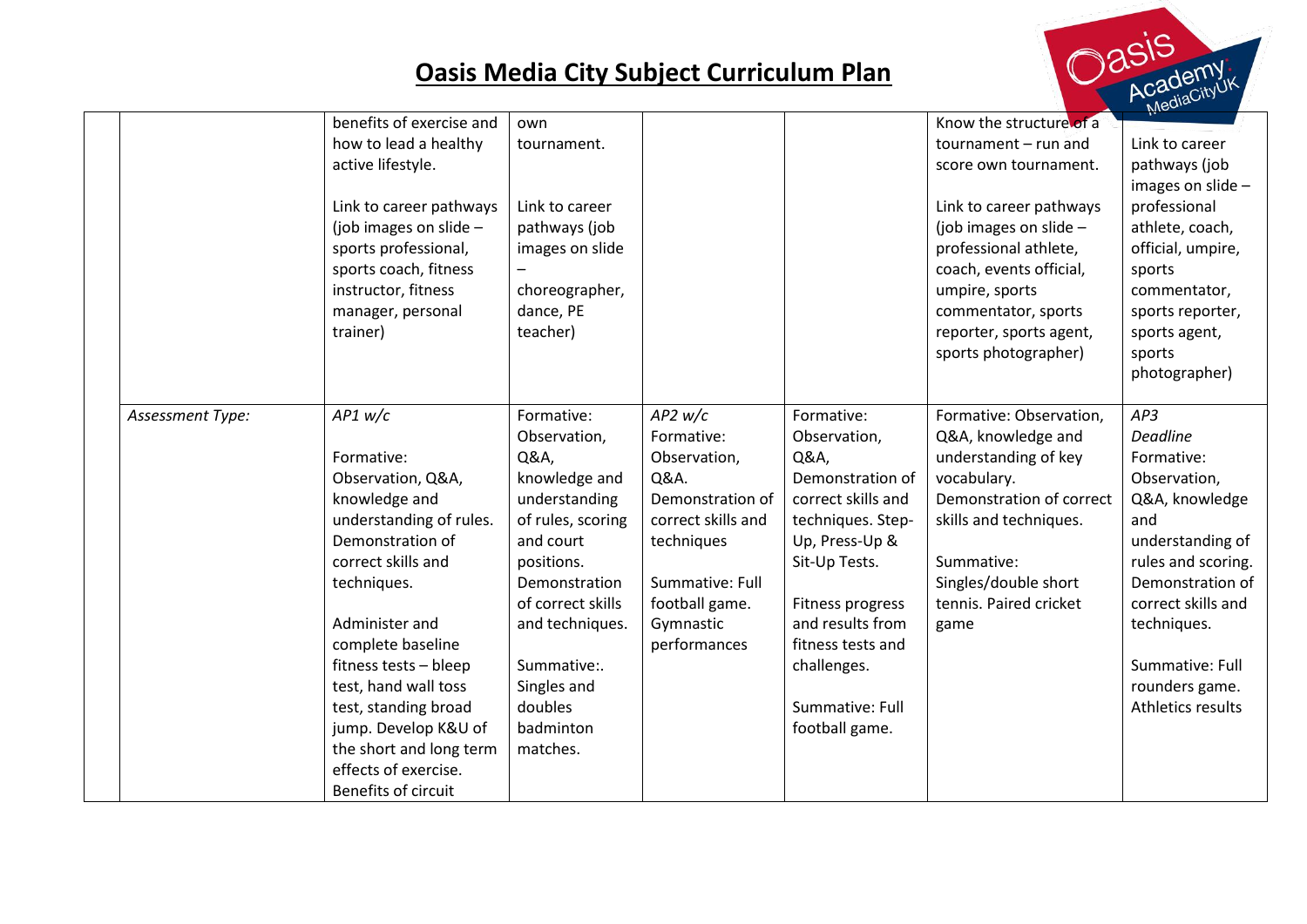

|                                              |                                                                    | $N_{\rm IC}$       |
|----------------------------------------------|--------------------------------------------------------------------|--------------------|
| benefits of exercise and<br>own              | Know the structure of a                                            |                    |
| how to lead a healthy<br>tournament.         | tournament $-$ run and                                             | Link to career     |
| active lifestyle.                            | score own tournament.                                              | pathways (job      |
|                                              |                                                                    | images on slide -  |
| Link to career pathways<br>Link to career    | Link to career pathways                                            | professional       |
| (job images on slide $-$<br>pathways (job    | (job images on slide $-$                                           | athlete, coach,    |
| images on slide<br>sports professional,      | professional athlete,                                              | official, umpire,  |
| sports coach, fitness                        | coach, events official,                                            | sports             |
| instructor, fitness<br>choreographer,        | umpire, sports                                                     | commentator,       |
| dance, PE<br>manager, personal               | commentator, sports                                                | sports reporter,   |
| teacher)<br>trainer)                         | reporter, sports agent,                                            | sports agent,      |
|                                              | sports photographer)                                               | sports             |
|                                              |                                                                    | photographer)      |
|                                              |                                                                    |                    |
| AP1 w/c<br>Formative:<br>Assessment Type:    | $AP2$ w/c<br>Formative:<br>Formative: Observation,                 | AP3                |
| Observation,                                 | Q&A, knowledge and<br>Formative:<br>Observation,                   | <b>Deadline</b>    |
| Q&A,<br>Formative:                           | understanding of key<br>Observation,<br>Q&A,                       | Formative:         |
| Observation, Q&A,<br>knowledge and           | Demonstration of<br>vocabulary.<br>Q&A.                            | Observation,       |
| knowledge and<br>understanding               | Demonstration of correct<br>Demonstration of<br>correct skills and | Q&A, knowledge     |
| understanding of rules.<br>of rules, scoring | correct skills and<br>skills and techniques.<br>techniques. Step-  | and                |
| Demonstration of<br>and court                | techniques<br>Up, Press-Up &                                       | understanding of   |
| correct skills and<br>positions.             | Sit-Up Tests.<br>Summative:                                        | rules and scoring. |
| techniques.<br>Demonstration                 | Summative: Full<br>Singles/double short                            | Demonstration of   |
| of correct skills                            | tennis. Paired cricket<br>football game.<br>Fitness progress       | correct skills and |
| Administer and<br>and techniques.            | and results from<br>Gymnastic<br>game                              | techniques.        |
| complete baseline                            | performances<br>fitness tests and                                  |                    |
| fitness tests - bleep<br>Summative:.         | challenges.                                                        | Summative: Full    |
| test, hand wall toss<br>Singles and          |                                                                    | rounders game.     |
| doubles<br>test, standing broad              | Summative: Full                                                    | Athletics results  |
| jump. Develop K&U of<br>badminton            | football game.                                                     |                    |
| the short and long term<br>matches.          |                                                                    |                    |
| effects of exercise.                         |                                                                    |                    |
| Benefits of circuit                          |                                                                    |                    |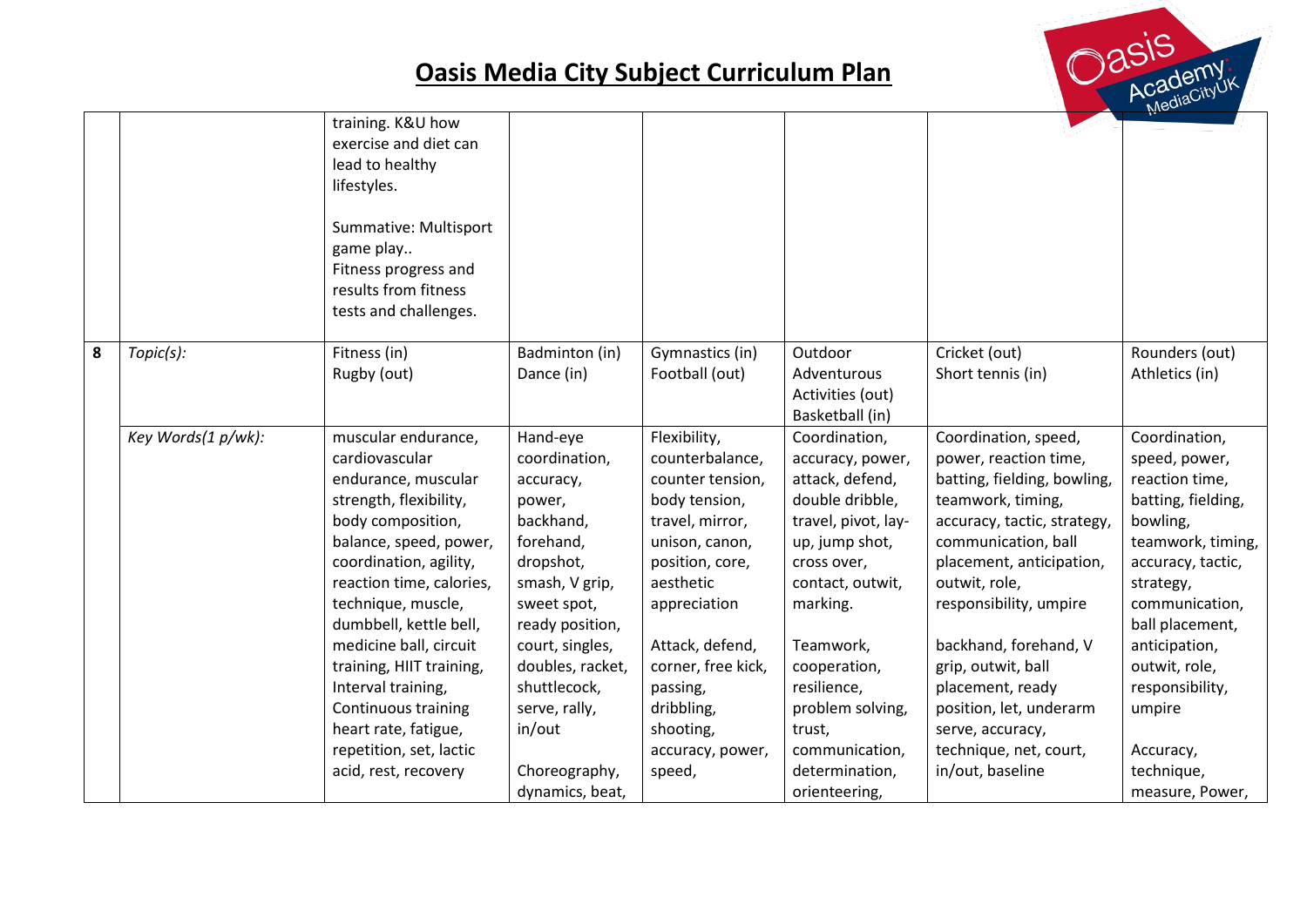

|   |                    | training. K&U how<br>exercise and diet can<br>lead to healthy<br>lifestyles.<br>Summative: Multisport                                                                                                                                                                                                                                                                                                                     |                                                                                                                                                                                                                                                                   |                                                                                                                                                                                                                                                                         |                                                                                                                                                                                                                                                                                                |                                                                                                                                                                                                                                                                                                                                                                                                |                                                                                                                                                                                                                                                                                             |
|---|--------------------|---------------------------------------------------------------------------------------------------------------------------------------------------------------------------------------------------------------------------------------------------------------------------------------------------------------------------------------------------------------------------------------------------------------------------|-------------------------------------------------------------------------------------------------------------------------------------------------------------------------------------------------------------------------------------------------------------------|-------------------------------------------------------------------------------------------------------------------------------------------------------------------------------------------------------------------------------------------------------------------------|------------------------------------------------------------------------------------------------------------------------------------------------------------------------------------------------------------------------------------------------------------------------------------------------|------------------------------------------------------------------------------------------------------------------------------------------------------------------------------------------------------------------------------------------------------------------------------------------------------------------------------------------------------------------------------------------------|---------------------------------------------------------------------------------------------------------------------------------------------------------------------------------------------------------------------------------------------------------------------------------------------|
|   |                    | game play<br>Fitness progress and<br>results from fitness<br>tests and challenges.                                                                                                                                                                                                                                                                                                                                        |                                                                                                                                                                                                                                                                   |                                                                                                                                                                                                                                                                         |                                                                                                                                                                                                                                                                                                |                                                                                                                                                                                                                                                                                                                                                                                                |                                                                                                                                                                                                                                                                                             |
| 8 | Topic(s):          | Fitness (in)<br>Rugby (out)                                                                                                                                                                                                                                                                                                                                                                                               | Badminton (in)<br>Dance (in)                                                                                                                                                                                                                                      | Gymnastics (in)<br>Football (out)                                                                                                                                                                                                                                       | Outdoor<br>Adventurous<br>Activities (out)<br>Basketball (in)                                                                                                                                                                                                                                  | Cricket (out)<br>Short tennis (in)                                                                                                                                                                                                                                                                                                                                                             | Rounders (out)<br>Athletics (in)                                                                                                                                                                                                                                                            |
|   | Key Words(1 p/wk): | muscular endurance,<br>cardiovascular<br>endurance, muscular<br>strength, flexibility,<br>body composition,<br>balance, speed, power,<br>coordination, agility,<br>reaction time, calories,<br>technique, muscle,<br>dumbbell, kettle bell,<br>medicine ball, circuit<br>training, HIIT training,<br>Interval training,<br>Continuous training<br>heart rate, fatigue,<br>repetition, set, lactic<br>acid, rest, recovery | Hand-eye<br>coordination,<br>accuracy,<br>power,<br>backhand,<br>forehand,<br>dropshot,<br>smash, V grip,<br>sweet spot,<br>ready position,<br>court, singles,<br>doubles, racket,<br>shuttlecock,<br>serve, rally,<br>in/out<br>Choreography,<br>dynamics, beat, | Flexibility,<br>counterbalance,<br>counter tension,<br>body tension,<br>travel, mirror,<br>unison, canon,<br>position, core,<br>aesthetic<br>appreciation<br>Attack, defend,<br>corner, free kick,<br>passing,<br>dribbling,<br>shooting,<br>accuracy, power,<br>speed, | Coordination,<br>accuracy, power,<br>attack, defend,<br>double dribble,<br>travel, pivot, lay-<br>up, jump shot,<br>cross over,<br>contact, outwit,<br>marking.<br>Teamwork,<br>cooperation,<br>resilience,<br>problem solving,<br>trust,<br>communication,<br>determination,<br>orienteering, | Coordination, speed,<br>power, reaction time,<br>batting, fielding, bowling,<br>teamwork, timing,<br>accuracy, tactic, strategy,<br>communication, ball<br>placement, anticipation,<br>outwit, role,<br>responsibility, umpire<br>backhand, forehand, V<br>grip, outwit, ball<br>placement, ready<br>position, let, underarm<br>serve, accuracy,<br>technique, net, court,<br>in/out, baseline | Coordination,<br>speed, power,<br>reaction time,<br>batting, fielding,<br>bowling,<br>teamwork, timing,<br>accuracy, tactic,<br>strategy,<br>communication,<br>ball placement,<br>anticipation,<br>outwit, role,<br>responsibility,<br>umpire<br>Accuracy,<br>technique,<br>measure, Power, |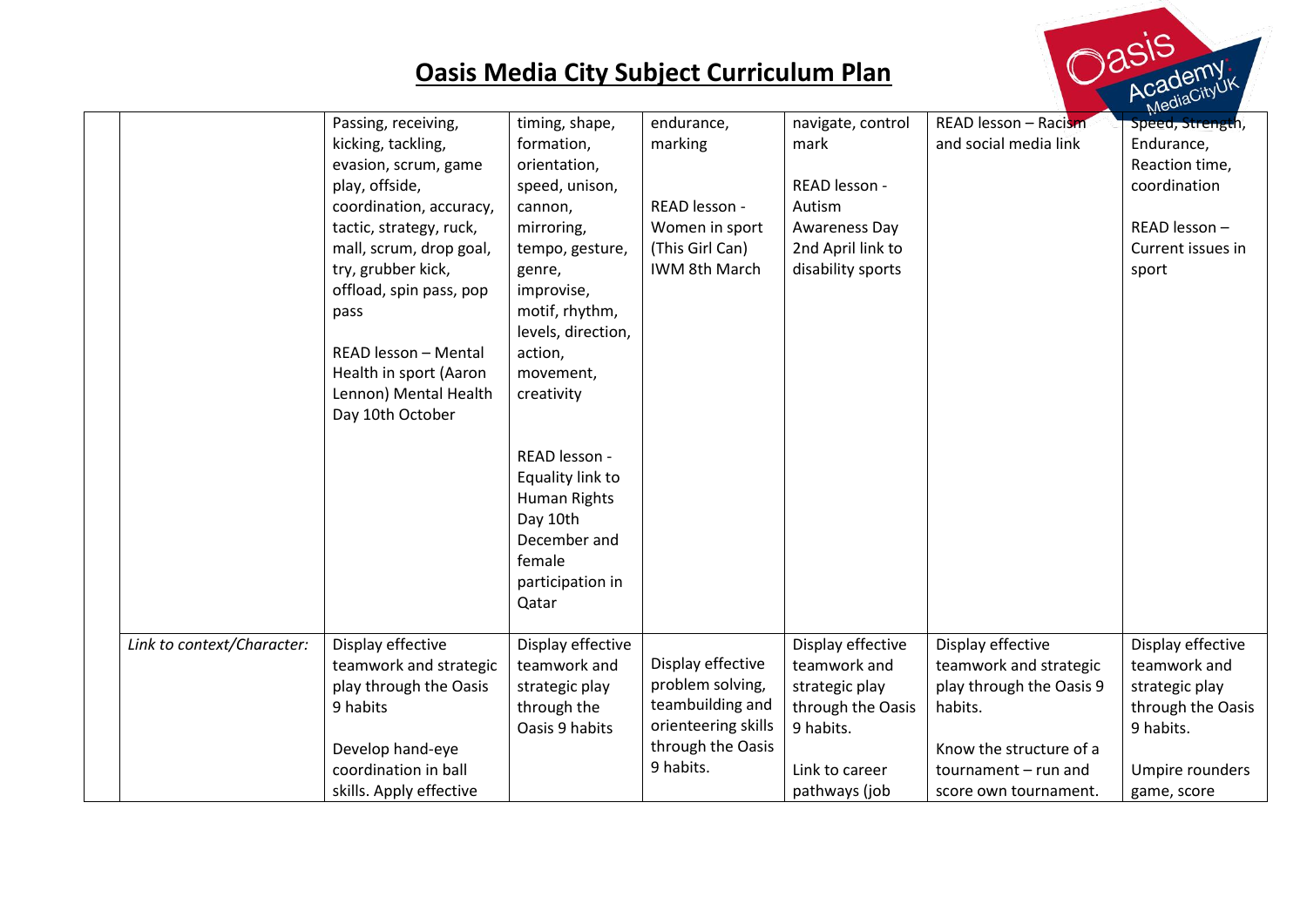

| READ lesson - Racism<br>timing, shape,<br>endurance,<br>navigate, control<br>Passing, receiving,<br>kicking, tackling,<br>marking<br>and social media link<br>formation,<br>mark<br>evasion, scrum, game<br>orientation,<br>READ lesson -<br>play, offside,<br>speed, unison,<br>READ lesson -<br>coordination, accuracy,<br>Autism<br>cannon,<br>tactic, strategy, ruck,<br>Women in sport<br>Awareness Day<br>mirroring,<br>(This Girl Can)<br>2nd April link to<br>mall, scrum, drop goal,<br>tempo, gesture,<br>try, grubber kick,<br>IWM 8th March<br>disability sports<br>genre,<br>offload, spin pass, pop<br>improvise,<br>motif, rhythm,<br>pass<br>levels, direction,<br>READ lesson - Mental<br>action,<br>Health in sport (Aaron<br>movement,<br>Lennon) Mental Health<br>creativity<br>Day 10th October<br>READ lesson -<br>Equality link to<br>Human Rights<br>Day 10th | Speed, Strength,<br>Endurance,<br>Reaction time,<br>coordination<br>READ lesson -<br>Current issues in |
|---------------------------------------------------------------------------------------------------------------------------------------------------------------------------------------------------------------------------------------------------------------------------------------------------------------------------------------------------------------------------------------------------------------------------------------------------------------------------------------------------------------------------------------------------------------------------------------------------------------------------------------------------------------------------------------------------------------------------------------------------------------------------------------------------------------------------------------------------------------------------------------|--------------------------------------------------------------------------------------------------------|
|                                                                                                                                                                                                                                                                                                                                                                                                                                                                                                                                                                                                                                                                                                                                                                                                                                                                                       |                                                                                                        |
|                                                                                                                                                                                                                                                                                                                                                                                                                                                                                                                                                                                                                                                                                                                                                                                                                                                                                       |                                                                                                        |
|                                                                                                                                                                                                                                                                                                                                                                                                                                                                                                                                                                                                                                                                                                                                                                                                                                                                                       |                                                                                                        |
|                                                                                                                                                                                                                                                                                                                                                                                                                                                                                                                                                                                                                                                                                                                                                                                                                                                                                       |                                                                                                        |
|                                                                                                                                                                                                                                                                                                                                                                                                                                                                                                                                                                                                                                                                                                                                                                                                                                                                                       |                                                                                                        |
|                                                                                                                                                                                                                                                                                                                                                                                                                                                                                                                                                                                                                                                                                                                                                                                                                                                                                       |                                                                                                        |
|                                                                                                                                                                                                                                                                                                                                                                                                                                                                                                                                                                                                                                                                                                                                                                                                                                                                                       |                                                                                                        |
|                                                                                                                                                                                                                                                                                                                                                                                                                                                                                                                                                                                                                                                                                                                                                                                                                                                                                       | sport                                                                                                  |
|                                                                                                                                                                                                                                                                                                                                                                                                                                                                                                                                                                                                                                                                                                                                                                                                                                                                                       |                                                                                                        |
|                                                                                                                                                                                                                                                                                                                                                                                                                                                                                                                                                                                                                                                                                                                                                                                                                                                                                       |                                                                                                        |
|                                                                                                                                                                                                                                                                                                                                                                                                                                                                                                                                                                                                                                                                                                                                                                                                                                                                                       |                                                                                                        |
|                                                                                                                                                                                                                                                                                                                                                                                                                                                                                                                                                                                                                                                                                                                                                                                                                                                                                       |                                                                                                        |
|                                                                                                                                                                                                                                                                                                                                                                                                                                                                                                                                                                                                                                                                                                                                                                                                                                                                                       |                                                                                                        |
|                                                                                                                                                                                                                                                                                                                                                                                                                                                                                                                                                                                                                                                                                                                                                                                                                                                                                       |                                                                                                        |
|                                                                                                                                                                                                                                                                                                                                                                                                                                                                                                                                                                                                                                                                                                                                                                                                                                                                                       |                                                                                                        |
|                                                                                                                                                                                                                                                                                                                                                                                                                                                                                                                                                                                                                                                                                                                                                                                                                                                                                       |                                                                                                        |
|                                                                                                                                                                                                                                                                                                                                                                                                                                                                                                                                                                                                                                                                                                                                                                                                                                                                                       |                                                                                                        |
|                                                                                                                                                                                                                                                                                                                                                                                                                                                                                                                                                                                                                                                                                                                                                                                                                                                                                       |                                                                                                        |
|                                                                                                                                                                                                                                                                                                                                                                                                                                                                                                                                                                                                                                                                                                                                                                                                                                                                                       |                                                                                                        |
|                                                                                                                                                                                                                                                                                                                                                                                                                                                                                                                                                                                                                                                                                                                                                                                                                                                                                       |                                                                                                        |
| December and                                                                                                                                                                                                                                                                                                                                                                                                                                                                                                                                                                                                                                                                                                                                                                                                                                                                          |                                                                                                        |
| female                                                                                                                                                                                                                                                                                                                                                                                                                                                                                                                                                                                                                                                                                                                                                                                                                                                                                |                                                                                                        |
| participation in                                                                                                                                                                                                                                                                                                                                                                                                                                                                                                                                                                                                                                                                                                                                                                                                                                                                      |                                                                                                        |
| Qatar                                                                                                                                                                                                                                                                                                                                                                                                                                                                                                                                                                                                                                                                                                                                                                                                                                                                                 |                                                                                                        |
|                                                                                                                                                                                                                                                                                                                                                                                                                                                                                                                                                                                                                                                                                                                                                                                                                                                                                       |                                                                                                        |
| Link to context/Character:<br>Display effective<br>Display effective<br>Display effective<br>Display effective                                                                                                                                                                                                                                                                                                                                                                                                                                                                                                                                                                                                                                                                                                                                                                        | Display effective                                                                                      |
| Display effective<br>teamwork and strategic<br>teamwork and<br>teamwork and<br>teamwork and strategic                                                                                                                                                                                                                                                                                                                                                                                                                                                                                                                                                                                                                                                                                                                                                                                 | teamwork and                                                                                           |
| problem solving,<br>play through the Oasis<br>play through the Oasis 9<br>strategic play<br>strategic play                                                                                                                                                                                                                                                                                                                                                                                                                                                                                                                                                                                                                                                                                                                                                                            | strategic play                                                                                         |
| teambuilding and<br>9 habits<br>through the<br>through the Oasis<br>habits.                                                                                                                                                                                                                                                                                                                                                                                                                                                                                                                                                                                                                                                                                                                                                                                                           | through the Oasis                                                                                      |
| orienteering skills<br>Oasis 9 habits<br>9 habits.                                                                                                                                                                                                                                                                                                                                                                                                                                                                                                                                                                                                                                                                                                                                                                                                                                    | 9 habits.                                                                                              |
| through the Oasis<br>Develop hand-eye<br>Know the structure of a                                                                                                                                                                                                                                                                                                                                                                                                                                                                                                                                                                                                                                                                                                                                                                                                                      |                                                                                                        |
| 9 habits.<br>coordination in ball                                                                                                                                                                                                                                                                                                                                                                                                                                                                                                                                                                                                                                                                                                                                                                                                                                                     |                                                                                                        |
| skills. Apply effective<br>pathways (job<br>score own tournament.                                                                                                                                                                                                                                                                                                                                                                                                                                                                                                                                                                                                                                                                                                                                                                                                                     | game, score                                                                                            |
| Link to career<br>tournament $-$ run and                                                                                                                                                                                                                                                                                                                                                                                                                                                                                                                                                                                                                                                                                                                                                                                                                                              | Umpire rounders                                                                                        |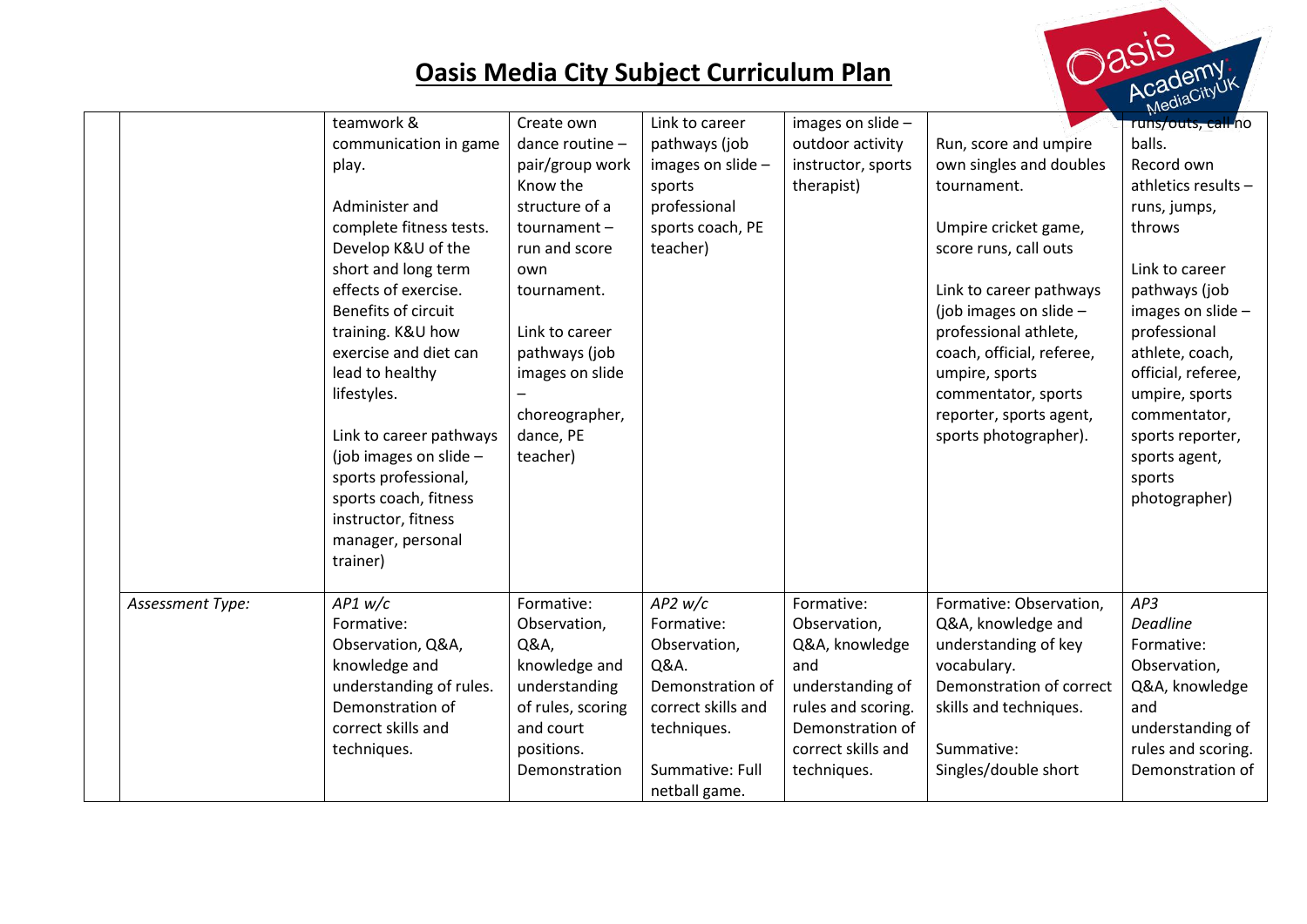

|                  | teamwork &               | Create own        | Link to career     | images on slide -  |                           | $\mu$ <sub>1</sub> $\sim$<br>runs/outs, call no |
|------------------|--------------------------|-------------------|--------------------|--------------------|---------------------------|-------------------------------------------------|
|                  | communication in game    | dance routine -   | pathways (job      | outdoor activity   | Run, score and umpire     | balls.                                          |
|                  | play.                    | pair/group work   | images on slide -  | instructor, sports | own singles and doubles   | Record own                                      |
|                  |                          | Know the          | sports             | therapist)         | tournament.               | athletics results -                             |
|                  | Administer and           | structure of a    | professional       |                    |                           | runs, jumps,                                    |
|                  | complete fitness tests.  | tournament-       | sports coach, PE   |                    | Umpire cricket game,      | throws                                          |
|                  | Develop K&U of the       | run and score     | teacher)           |                    | score runs, call outs     |                                                 |
|                  | short and long term      | own               |                    |                    |                           | Link to career                                  |
|                  | effects of exercise.     | tournament.       |                    |                    | Link to career pathways   | pathways (job                                   |
|                  | Benefits of circuit      |                   |                    |                    | (job images on slide -    | images on slide -                               |
|                  | training. K&U how        | Link to career    |                    |                    | professional athlete,     | professional                                    |
|                  | exercise and diet can    | pathways (job     |                    |                    | coach, official, referee, | athlete, coach,                                 |
|                  | lead to healthy          | images on slide   |                    |                    | umpire, sports            | official, referee,                              |
|                  | lifestyles.              |                   |                    |                    | commentator, sports       | umpire, sports                                  |
|                  |                          | choreographer,    |                    |                    | reporter, sports agent,   | commentator,                                    |
|                  | Link to career pathways  | dance, PE         |                    |                    | sports photographer).     | sports reporter,                                |
|                  | (job images on slide $-$ | teacher)          |                    |                    |                           | sports agent,                                   |
|                  | sports professional,     |                   |                    |                    |                           | sports                                          |
|                  | sports coach, fitness    |                   |                    |                    |                           | photographer)                                   |
|                  | instructor, fitness      |                   |                    |                    |                           |                                                 |
|                  | manager, personal        |                   |                    |                    |                           |                                                 |
|                  | trainer)                 |                   |                    |                    |                           |                                                 |
|                  |                          |                   |                    |                    |                           |                                                 |
| Assessment Type: | AP1 w/c                  | Formative:        | $AP2$ w/c          | Formative:         | Formative: Observation,   | AP3                                             |
|                  | Formative:               | Observation,      | Formative:         | Observation,       | Q&A, knowledge and        | <b>Deadline</b>                                 |
|                  | Observation, Q&A,        | Q&A,              | Observation,       | Q&A, knowledge     | understanding of key      | Formative:                                      |
|                  | knowledge and            | knowledge and     | Q&A.               | and                | vocabulary.               | Observation,                                    |
|                  | understanding of rules.  | understanding     | Demonstration of   | understanding of   | Demonstration of correct  | Q&A, knowledge                                  |
|                  | Demonstration of         | of rules, scoring | correct skills and | rules and scoring. | skills and techniques.    | and                                             |
|                  | correct skills and       | and court         | techniques.        | Demonstration of   |                           | understanding of                                |
|                  | techniques.              | positions.        |                    | correct skills and | Summative:                | rules and scoring.                              |
|                  |                          | Demonstration     | Summative: Full    | techniques.        | Singles/double short      | Demonstration of                                |
|                  |                          |                   | netball game.      |                    |                           |                                                 |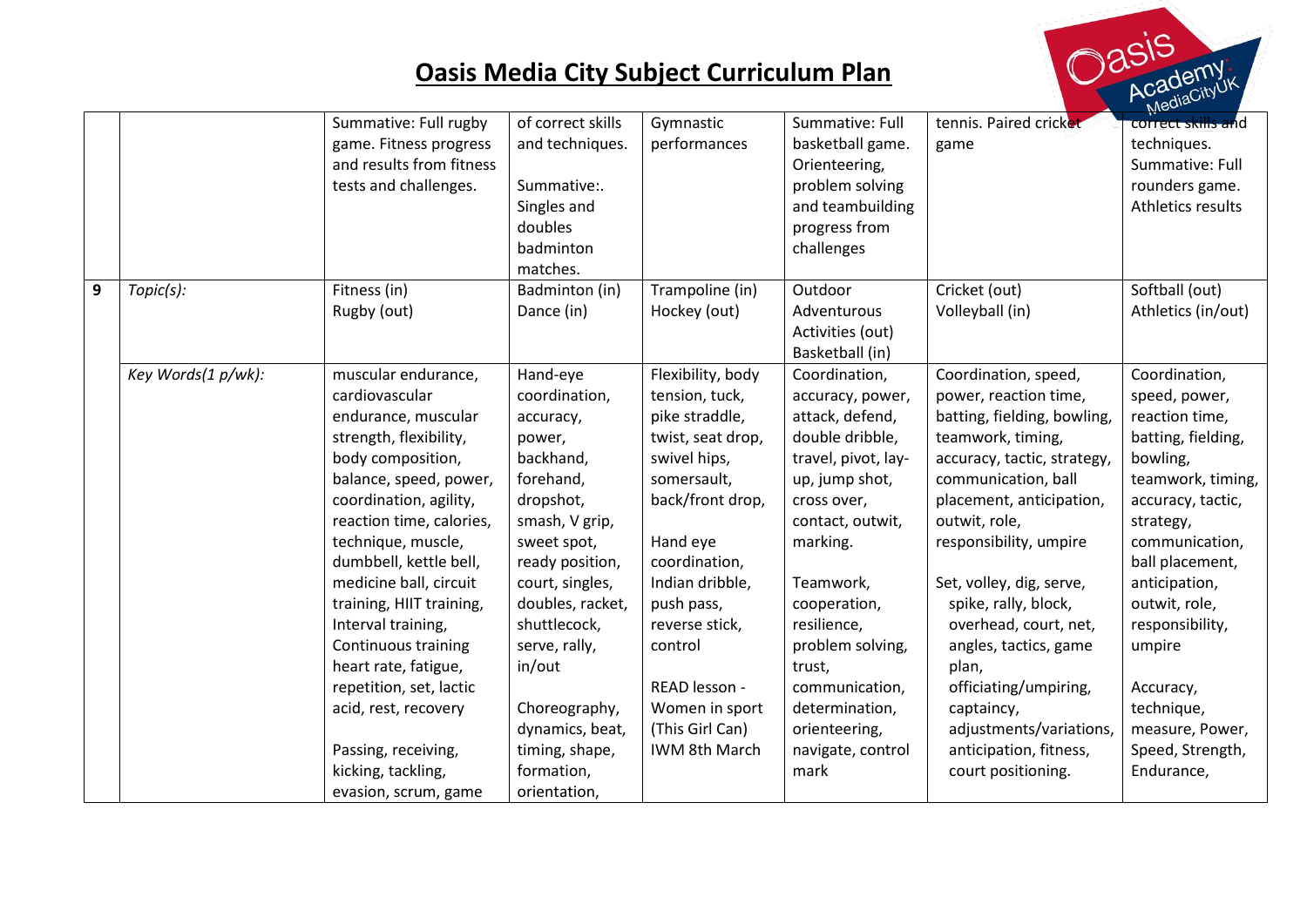

|                  |                    |                          | of correct skills |                   | Summative: Full     | tennis. Paired cricket      | $N_{\rm 1}$        |
|------------------|--------------------|--------------------------|-------------------|-------------------|---------------------|-----------------------------|--------------------|
|                  |                    | Summative: Full rugby    |                   | Gymnastic         |                     |                             | correct skills and |
|                  |                    | game. Fitness progress   | and techniques.   | performances      | basketball game.    | game                        | techniques.        |
|                  |                    | and results from fitness |                   |                   | Orienteering,       |                             | Summative: Full    |
|                  |                    | tests and challenges.    | Summative:.       |                   | problem solving     |                             | rounders game.     |
|                  |                    |                          | Singles and       |                   | and teambuilding    |                             | Athletics results  |
|                  |                    |                          | doubles           |                   | progress from       |                             |                    |
|                  |                    |                          | badminton         |                   | challenges          |                             |                    |
|                  |                    |                          | matches.          |                   |                     |                             |                    |
| $\boldsymbol{9}$ | Topic(s):          | Fitness (in)             | Badminton (in)    | Trampoline (in)   | Outdoor             | Cricket (out)               | Softball (out)     |
|                  |                    | Rugby (out)              | Dance (in)        | Hockey (out)      | Adventurous         | Volleyball (in)             | Athletics (in/out) |
|                  |                    |                          |                   |                   | Activities (out)    |                             |                    |
|                  |                    |                          |                   |                   | Basketball (in)     |                             |                    |
|                  | Key Words(1 p/wk): | muscular endurance,      | Hand-eye          | Flexibility, body | Coordination,       | Coordination, speed,        | Coordination,      |
|                  |                    | cardiovascular           | coordination,     | tension, tuck,    | accuracy, power,    | power, reaction time,       | speed, power,      |
|                  |                    | endurance, muscular      | accuracy,         | pike straddle,    | attack, defend,     | batting, fielding, bowling, | reaction time,     |
|                  |                    | strength, flexibility,   | power,            | twist, seat drop, | double dribble,     | teamwork, timing,           | batting, fielding, |
|                  |                    | body composition,        | backhand,         | swivel hips,      | travel, pivot, lay- | accuracy, tactic, strategy, | bowling,           |
|                  |                    | balance, speed, power,   | forehand,         | somersault,       | up, jump shot,      | communication, ball         | teamwork, timing,  |
|                  |                    | coordination, agility,   | dropshot,         | back/front drop,  | cross over,         | placement, anticipation,    | accuracy, tactic,  |
|                  |                    | reaction time, calories, | smash, V grip,    |                   | contact, outwit,    | outwit, role,               | strategy,          |
|                  |                    | technique, muscle,       | sweet spot,       | Hand eye          | marking.            | responsibility, umpire      | communication,     |
|                  |                    | dumbbell, kettle bell,   | ready position,   | coordination,     |                     |                             | ball placement,    |
|                  |                    | medicine ball, circuit   | court, singles,   | Indian dribble,   | Teamwork,           | Set, volley, dig, serve,    | anticipation,      |
|                  |                    | training, HIIT training, | doubles, racket,  | push pass,        | cooperation,        | spike, rally, block,        | outwit, role,      |
|                  |                    | Interval training,       | shuttlecock,      | reverse stick,    | resilience,         | overhead, court, net,       | responsibility,    |
|                  |                    | Continuous training      | serve, rally,     | control           | problem solving,    | angles, tactics, game       | umpire             |
|                  |                    | heart rate, fatigue,     | in/out            |                   | trust,              | plan,                       |                    |
|                  |                    | repetition, set, lactic  |                   | READ lesson -     | communication,      | officiating/umpiring,       | Accuracy,          |
|                  |                    | acid, rest, recovery     | Choreography,     | Women in sport    | determination,      | captaincy,                  | technique,         |
|                  |                    |                          | dynamics, beat,   | (This Girl Can)   | orienteering,       | adjustments/variations,     | measure, Power,    |
|                  |                    | Passing, receiving,      | timing, shape,    | IWM 8th March     | navigate, control   | anticipation, fitness,      | Speed, Strength,   |
|                  |                    | kicking, tackling,       | formation,        |                   | mark                | court positioning.          | Endurance,         |
|                  |                    |                          | orientation,      |                   |                     |                             |                    |
|                  |                    | evasion, scrum, game     |                   |                   |                     |                             |                    |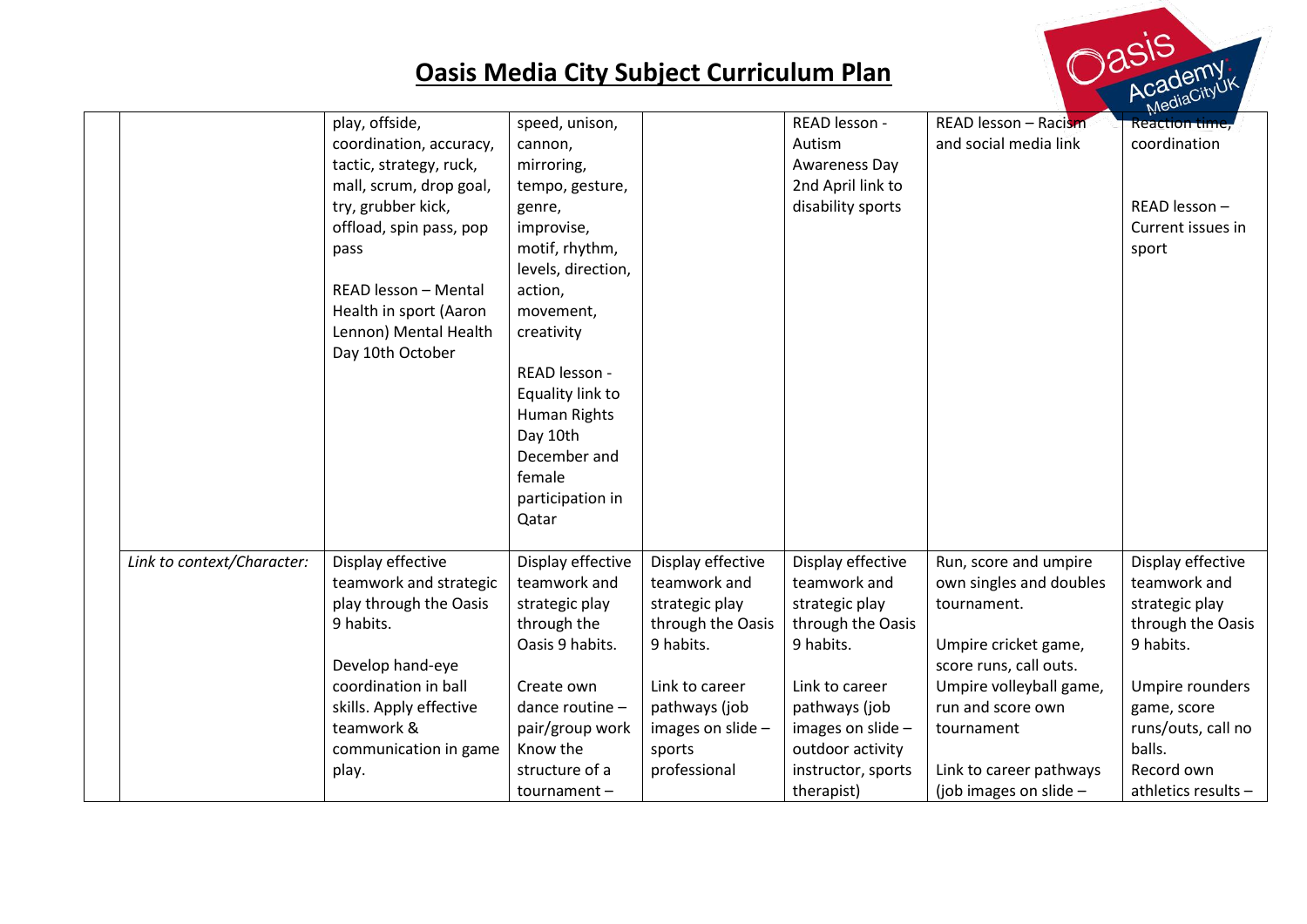

|                            | play, offside,<br>coordination, accuracy,<br>tactic, strategy, ruck,<br>mall, scrum, drop goal,<br>try, grubber kick,<br>offload, spin pass, pop<br>pass<br>READ lesson - Mental<br>Health in sport (Aaron<br>Lennon) Mental Health<br>Day 10th October | speed, unison,<br>cannon,<br>mirroring,<br>tempo, gesture,<br>genre,<br>improvise,<br>motif, rhythm,<br>levels, direction,<br>action,<br>movement,<br>creativity<br>READ lesson -<br>Equality link to<br>Human Rights<br>Day 10th<br>December and<br>female<br>participation in |                                                                                                                                                                         | READ lesson -<br>Autism<br>Awareness Day<br>2nd April link to<br>disability sports                                                                                                                    | READ lesson - Racism<br>and social media link                                                                                                                                                                                        | $\mu$ lex<br><b>Reaction time,</b><br>coordination<br>READ lesson -<br>Current issues in<br>sport                                                                                            |
|----------------------------|---------------------------------------------------------------------------------------------------------------------------------------------------------------------------------------------------------------------------------------------------------|---------------------------------------------------------------------------------------------------------------------------------------------------------------------------------------------------------------------------------------------------------------------------------|-------------------------------------------------------------------------------------------------------------------------------------------------------------------------|-------------------------------------------------------------------------------------------------------------------------------------------------------------------------------------------------------|--------------------------------------------------------------------------------------------------------------------------------------------------------------------------------------------------------------------------------------|----------------------------------------------------------------------------------------------------------------------------------------------------------------------------------------------|
| Link to context/Character: | Display effective<br>teamwork and strategic<br>play through the Oasis<br>9 habits.<br>Develop hand-eye<br>coordination in ball<br>skills. Apply effective<br>teamwork &<br>communication in game<br>play.                                               | Qatar<br>Display effective<br>teamwork and<br>strategic play<br>through the<br>Oasis 9 habits.<br>Create own<br>dance routine -<br>pair/group work<br>Know the<br>structure of a<br>tournament-                                                                                 | Display effective<br>teamwork and<br>strategic play<br>through the Oasis<br>9 habits.<br>Link to career<br>pathways (job<br>images on slide -<br>sports<br>professional | Display effective<br>teamwork and<br>strategic play<br>through the Oasis<br>9 habits.<br>Link to career<br>pathways (job<br>images on slide -<br>outdoor activity<br>instructor, sports<br>therapist) | Run, score and umpire<br>own singles and doubles<br>tournament.<br>Umpire cricket game,<br>score runs, call outs.<br>Umpire volleyball game,<br>run and score own<br>tournament<br>Link to career pathways<br>(job images on slide - | Display effective<br>teamwork and<br>strategic play<br>through the Oasis<br>9 habits.<br>Umpire rounders<br>game, score<br>runs/outs, call no<br>balls.<br>Record own<br>athletics results - |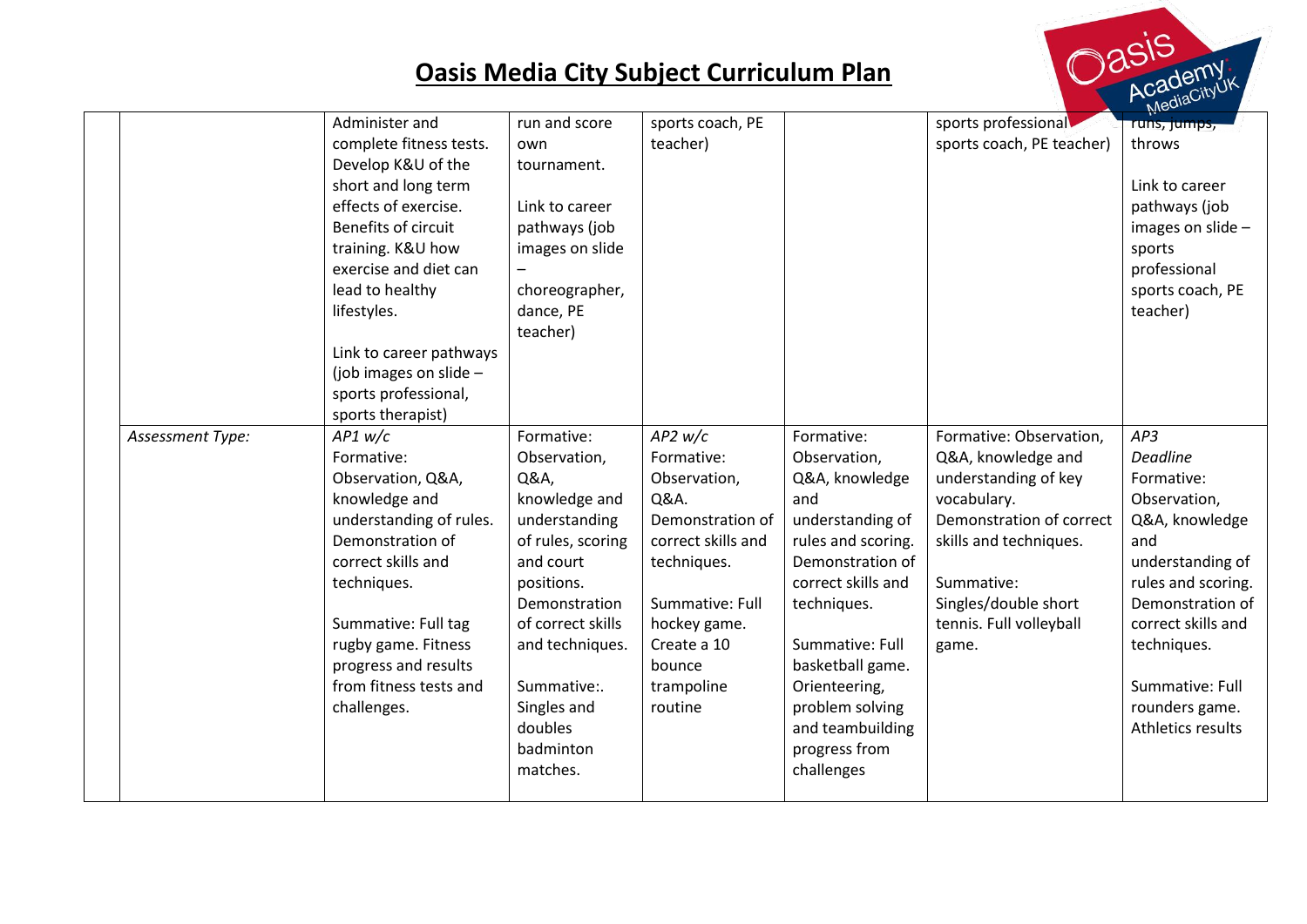

|                  |                          |                   |                    |                    |                           | $M_{\rm K}$        |
|------------------|--------------------------|-------------------|--------------------|--------------------|---------------------------|--------------------|
|                  | Administer and           | run and score     | sports coach, PE   |                    | sports professional       | runs, jumps,       |
|                  | complete fitness tests.  | own               | teacher)           |                    | sports coach, PE teacher) | throws             |
|                  | Develop K&U of the       | tournament.       |                    |                    |                           |                    |
|                  | short and long term      |                   |                    |                    |                           | Link to career     |
|                  | effects of exercise.     | Link to career    |                    |                    |                           | pathways (job      |
|                  | Benefits of circuit      | pathways (job     |                    |                    |                           | images on slide -  |
|                  | training. K&U how        | images on slide   |                    |                    |                           | sports             |
|                  | exercise and diet can    |                   |                    |                    |                           | professional       |
|                  | lead to healthy          | choreographer,    |                    |                    |                           | sports coach, PE   |
|                  | lifestyles.              | dance, PE         |                    |                    |                           | teacher)           |
|                  |                          | teacher)          |                    |                    |                           |                    |
|                  | Link to career pathways  |                   |                    |                    |                           |                    |
|                  | (job images on slide $-$ |                   |                    |                    |                           |                    |
|                  | sports professional,     |                   |                    |                    |                           |                    |
|                  | sports therapist)        |                   |                    |                    |                           |                    |
| Assessment Type: | AP1 w/c                  | Formative:        | $AP2$ w/c          | Formative:         | Formative: Observation,   | AP3                |
|                  | Formative:               | Observation,      | Formative:         | Observation,       | Q&A, knowledge and        | <b>Deadline</b>    |
|                  | Observation, Q&A,        | Q&A,              | Observation,       | Q&A, knowledge     | understanding of key      | Formative:         |
|                  | knowledge and            | knowledge and     | Q&A.               | and                | vocabulary.               | Observation,       |
|                  | understanding of rules.  | understanding     | Demonstration of   | understanding of   | Demonstration of correct  | Q&A, knowledge     |
|                  | Demonstration of         | of rules, scoring | correct skills and | rules and scoring. | skills and techniques.    | and                |
|                  | correct skills and       | and court         | techniques.        | Demonstration of   |                           | understanding of   |
|                  | techniques.              | positions.        |                    | correct skills and | Summative:                | rules and scoring. |
|                  |                          | Demonstration     | Summative: Full    | techniques.        | Singles/double short      | Demonstration of   |
|                  | Summative: Full tag      | of correct skills | hockey game.       |                    | tennis. Full volleyball   | correct skills and |
|                  | rugby game. Fitness      | and techniques.   | Create a 10        | Summative: Full    | game.                     | techniques.        |
|                  | progress and results     |                   | bounce             | basketball game.   |                           |                    |
|                  | from fitness tests and   | Summative:.       | trampoline         | Orienteering,      |                           | Summative: Full    |
|                  | challenges.              | Singles and       | routine            | problem solving    |                           | rounders game.     |
|                  |                          | doubles           |                    | and teambuilding   |                           | Athletics results  |
|                  |                          | badminton         |                    | progress from      |                           |                    |
|                  |                          | matches.          |                    | challenges         |                           |                    |
|                  |                          |                   |                    |                    |                           |                    |
|                  |                          |                   |                    |                    |                           |                    |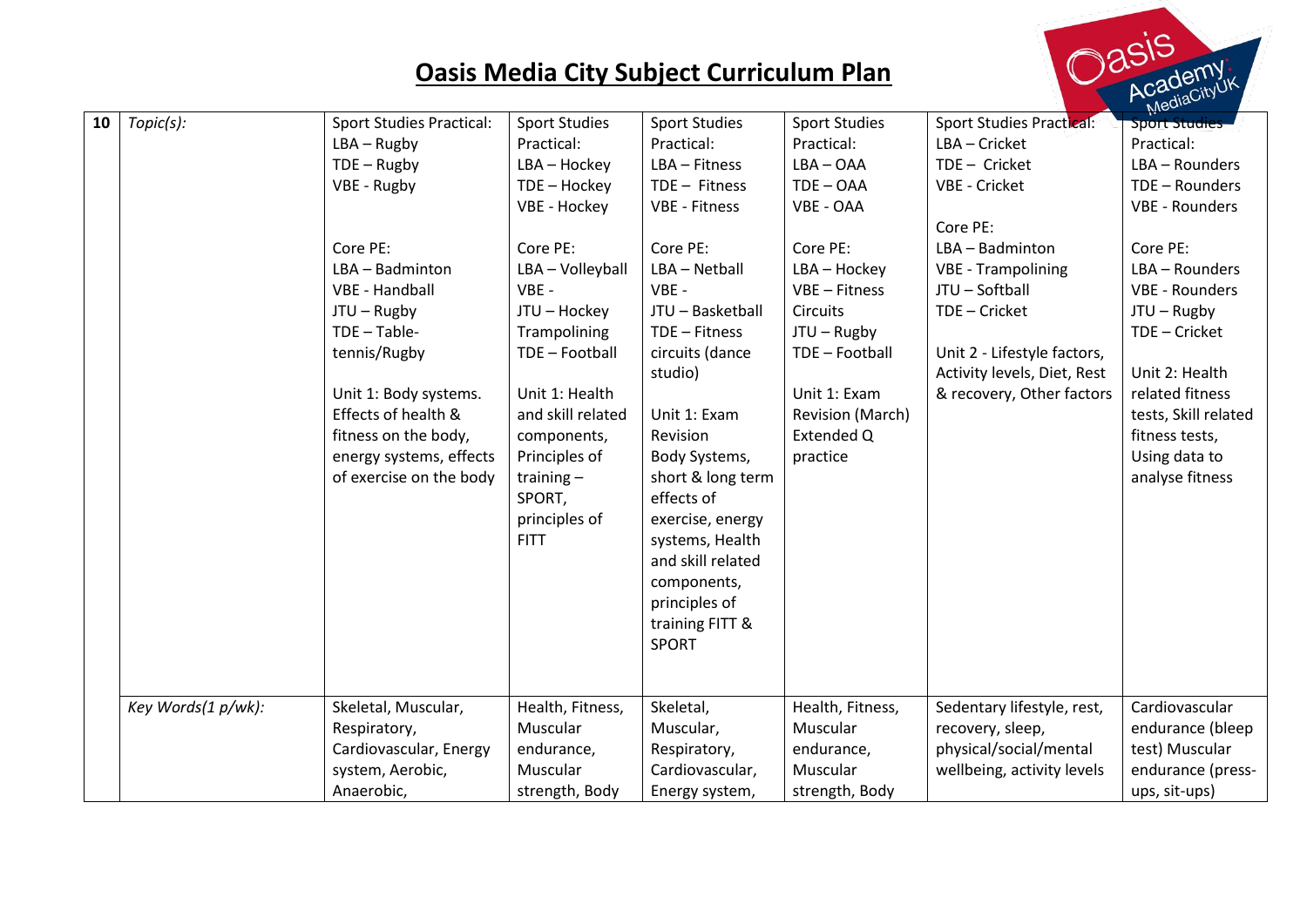

|    |                    |                                 |                      |                      |                      |                                 | $M$ eur-              |
|----|--------------------|---------------------------------|----------------------|----------------------|----------------------|---------------------------------|-----------------------|
| 10 | Topic(s):          | <b>Sport Studies Practical:</b> | <b>Sport Studies</b> | <b>Sport Studies</b> | <b>Sport Studies</b> | <b>Sport Studies Practical:</b> | <b>Sport Studies</b>  |
|    |                    | $LBA - Rugby$                   | Practical:           | Practical:           | Practical:           | LBA - Cricket                   | Practical:            |
|    |                    | $TDE - Rugby$                   | LBA - Hockey         | LBA - Fitness        | $LBA - OAA$          | TDE - Cricket                   | LBA - Rounders        |
|    |                    | VBE - Rugby                     | TDE - Hockey         | $TDE - Fitness$      | $TDE - OAA$          | VBE - Cricket                   | TDE - Rounders        |
|    |                    |                                 | VBE - Hockey         | <b>VBE - Fitness</b> | VBE - OAA            |                                 | <b>VBE - Rounders</b> |
|    |                    |                                 |                      |                      |                      | Core PE:                        |                       |
|    |                    | Core PE:                        | Core PE:             | Core PE:             | Core PE:             | LBA - Badminton                 | Core PE:              |
|    |                    | LBA - Badminton                 | LBA - Volleyball     | LBA - Netball        | LBA - Hockey         | <b>VBE - Trampolining</b>       | LBA - Rounders        |
|    |                    | VBE - Handball                  | VBE -                | $VBE -$              | VBE - Fitness        | JTU - Softball                  | <b>VBE - Rounders</b> |
|    |                    | $JTU - Rugby$                   | JTU - Hockey         | JTU - Basketball     | <b>Circuits</b>      | TDE - Cricket                   | $JTU - Rugby$         |
|    |                    | $TDE - Table-$                  | Trampolining         | TDE - Fitness        | $JTU - Rugby$        |                                 | TDE - Cricket         |
|    |                    | tennis/Rugby                    | TDE - Football       | circuits (dance      | TDE - Football       | Unit 2 - Lifestyle factors,     |                       |
|    |                    |                                 |                      | studio)              |                      | Activity levels, Diet, Rest     | Unit 2: Health        |
|    |                    | Unit 1: Body systems.           | Unit 1: Health       |                      | Unit 1: Exam         | & recovery, Other factors       | related fitness       |
|    |                    | Effects of health &             | and skill related    | Unit 1: Exam         | Revision (March)     |                                 | tests, Skill related  |
|    |                    | fitness on the body,            | components,          | Revision             | Extended Q           |                                 | fitness tests,        |
|    |                    | energy systems, effects         | Principles of        | Body Systems,        | practice             |                                 | Using data to         |
|    |                    | of exercise on the body         | training $-$         | short & long term    |                      |                                 | analyse fitness       |
|    |                    |                                 | SPORT,               | effects of           |                      |                                 |                       |
|    |                    |                                 | principles of        | exercise, energy     |                      |                                 |                       |
|    |                    |                                 | <b>FITT</b>          | systems, Health      |                      |                                 |                       |
|    |                    |                                 |                      | and skill related    |                      |                                 |                       |
|    |                    |                                 |                      | components,          |                      |                                 |                       |
|    |                    |                                 |                      | principles of        |                      |                                 |                       |
|    |                    |                                 |                      | training FITT &      |                      |                                 |                       |
|    |                    |                                 |                      | <b>SPORT</b>         |                      |                                 |                       |
|    |                    |                                 |                      |                      |                      |                                 |                       |
|    |                    |                                 |                      |                      |                      |                                 |                       |
|    | Key Words(1 p/wk): | Skeletal, Muscular,             | Health, Fitness,     | Skeletal,            | Health, Fitness,     | Sedentary lifestyle, rest,      | Cardiovascular        |
|    |                    | Respiratory,                    | Muscular             | Muscular,            | Muscular             | recovery, sleep,                | endurance (bleep      |
|    |                    | Cardiovascular, Energy          | endurance,           | Respiratory,         | endurance,           | physical/social/mental          | test) Muscular        |
|    |                    | system, Aerobic,                | Muscular             | Cardiovascular,      | Muscular             | wellbeing, activity levels      | endurance (press-     |
|    |                    | Anaerobic,                      | strength, Body       | Energy system,       | strength, Body       |                                 | ups, sit-ups)         |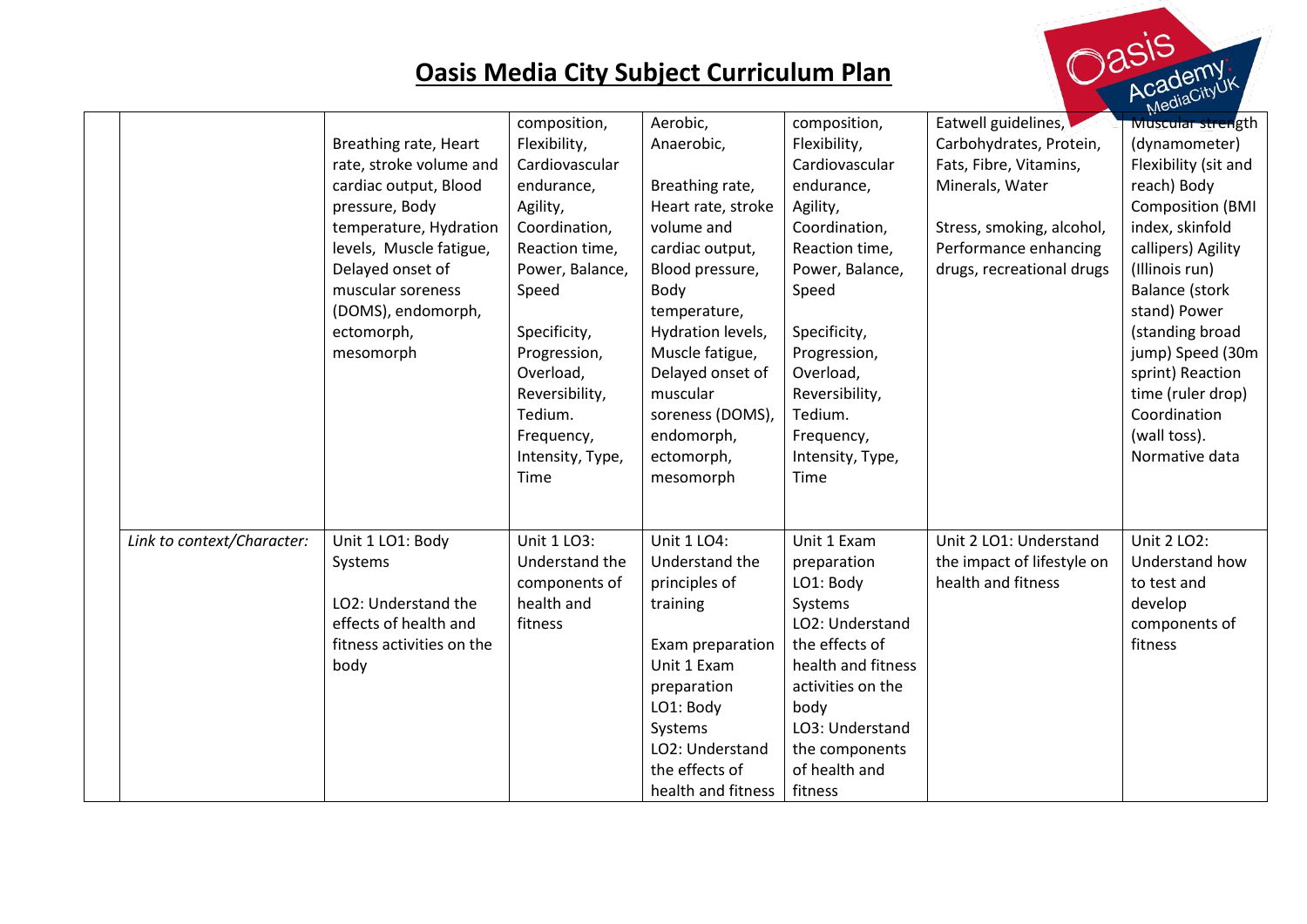

|                            | Breathing rate, Heart<br>rate, stroke volume and<br>cardiac output, Blood<br>pressure, Body<br>temperature, Hydration<br>levels, Muscle fatigue,<br>Delayed onset of<br>muscular soreness<br>(DOMS), endomorph,<br>ectomorph,<br>mesomorph | composition,<br>Flexibility,<br>Cardiovascular<br>endurance,<br>Agility,<br>Coordination,<br>Reaction time,<br>Power, Balance,<br>Speed<br>Specificity,<br>Progression,<br>Overload,<br>Reversibility, | Aerobic,<br>Anaerobic,<br>Breathing rate,<br>Heart rate, stroke<br>volume and<br>cardiac output,<br>Blood pressure,<br>Body<br>temperature,<br>Hydration levels,<br>Muscle fatigue,<br>Delayed onset of<br>muscular | composition,<br>Flexibility,<br>Cardiovascular<br>endurance,<br>Agility,<br>Coordination,<br>Reaction time,<br>Power, Balance,<br>Speed<br>Specificity,<br>Progression,<br>Overload,<br>Reversibility,      | Eatwell guidelines,<br>Carbohydrates, Protein,<br>Fats, Fibre, Vitamins,<br>Minerals, Water<br>Stress, smoking, alcohol,<br>Performance enhancing<br>drugs, recreational drugs | $M_{\rm K}$<br><b>Muscular strength</b><br>(dynamometer)<br>Flexibility (sit and<br>reach) Body<br><b>Composition (BMI</b><br>index, skinfold<br>callipers) Agility<br>(Illinois run)<br><b>Balance (stork</b><br>stand) Power<br>(standing broad<br>jump) Speed (30m<br>sprint) Reaction<br>time (ruler drop) |
|----------------------------|--------------------------------------------------------------------------------------------------------------------------------------------------------------------------------------------------------------------------------------------|--------------------------------------------------------------------------------------------------------------------------------------------------------------------------------------------------------|---------------------------------------------------------------------------------------------------------------------------------------------------------------------------------------------------------------------|-------------------------------------------------------------------------------------------------------------------------------------------------------------------------------------------------------------|--------------------------------------------------------------------------------------------------------------------------------------------------------------------------------|----------------------------------------------------------------------------------------------------------------------------------------------------------------------------------------------------------------------------------------------------------------------------------------------------------------|
|                            |                                                                                                                                                                                                                                            | Tedium.<br>Frequency,<br>Intensity, Type,<br>Time                                                                                                                                                      | soreness (DOMS),<br>endomorph,<br>ectomorph,<br>mesomorph                                                                                                                                                           | Tedium.<br>Frequency,<br>Intensity, Type,<br>Time                                                                                                                                                           |                                                                                                                                                                                | Coordination<br>(wall toss).<br>Normative data                                                                                                                                                                                                                                                                 |
| Link to context/Character: | Unit 1 LO1: Body<br>Systems<br>LO2: Understand the<br>effects of health and<br>fitness activities on the<br>body                                                                                                                           | Unit 1 LO3:<br>Understand the<br>components of<br>health and<br>fitness                                                                                                                                | Unit 1 LO4:<br>Understand the<br>principles of<br>training<br>Exam preparation<br>Unit 1 Exam<br>preparation<br>LO1: Body<br>Systems<br>LO2: Understand<br>the effects of<br>health and fitness                     | Unit 1 Exam<br>preparation<br>LO1: Body<br>Systems<br>LO2: Understand<br>the effects of<br>health and fitness<br>activities on the<br>body<br>LO3: Understand<br>the components<br>of health and<br>fitness | Unit 2 LO1: Understand<br>the impact of lifestyle on<br>health and fitness                                                                                                     | Unit 2 LO2:<br>Understand how<br>to test and<br>develop<br>components of<br>fitness                                                                                                                                                                                                                            |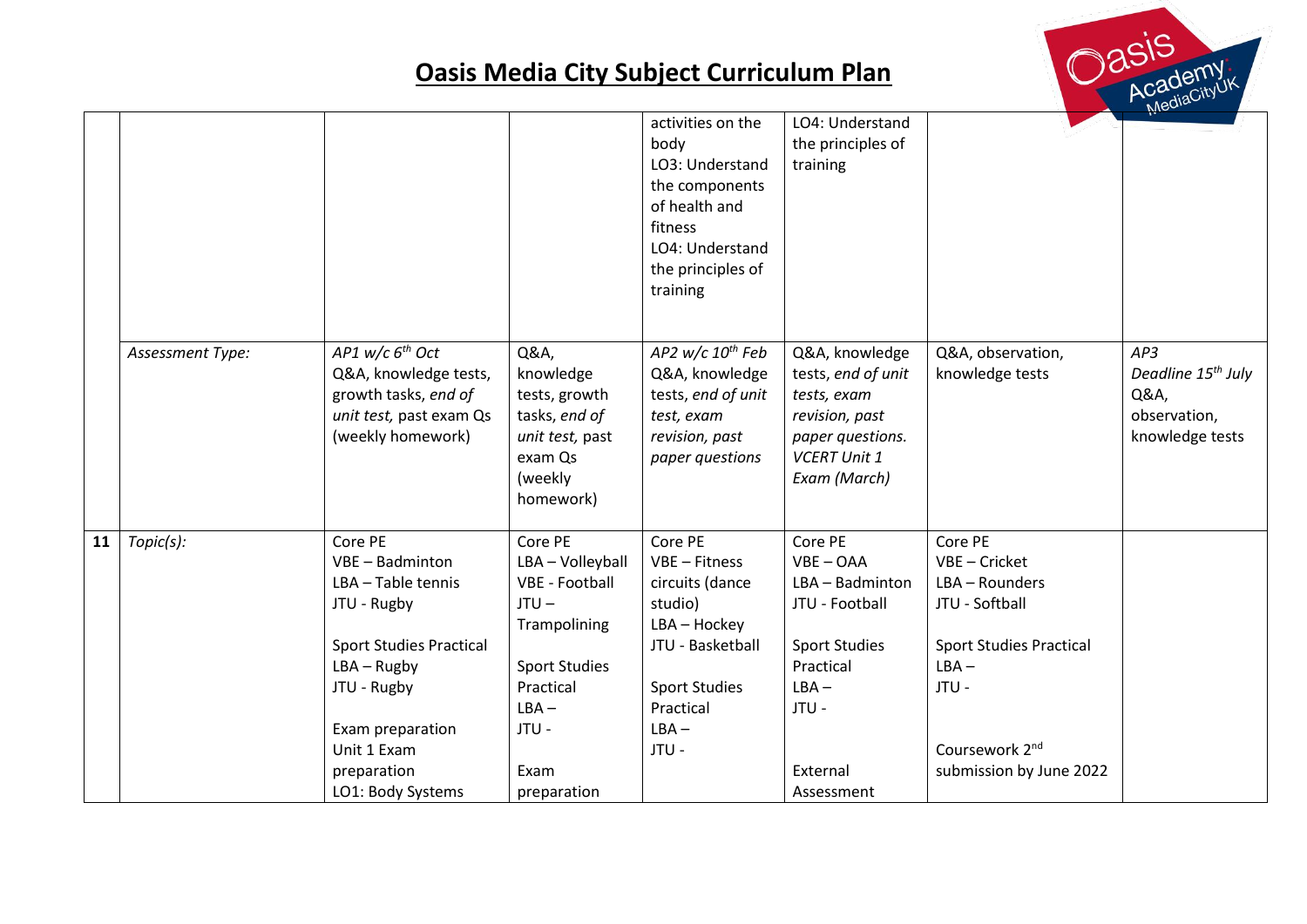

|    |                  |                                                                                                                                |                                                                                                           | activities on the<br>body<br>LO3: Understand<br>the components<br>of health and<br>fitness<br>LO4: Understand<br>the principles of<br>training | LO4: Understand<br>the principles of<br>training                                                                                 |                                      | N <sub>1</sub>                                                                   |
|----|------------------|--------------------------------------------------------------------------------------------------------------------------------|-----------------------------------------------------------------------------------------------------------|------------------------------------------------------------------------------------------------------------------------------------------------|----------------------------------------------------------------------------------------------------------------------------------|--------------------------------------|----------------------------------------------------------------------------------|
|    | Assessment Type: | AP1 $w/c$ 6 <sup>th</sup> Oct<br>Q&A, knowledge tests,<br>growth tasks, end of<br>unit test, past exam Qs<br>(weekly homework) | Q&A,<br>knowledge<br>tests, growth<br>tasks, end of<br>unit test, past<br>exam Qs<br>(weekly<br>homework) | AP2 $w/c$ 10 <sup>th</sup> Feb<br>Q&A, knowledge<br>tests, end of unit<br>test, exam<br>revision, past<br>paper questions                      | Q&A, knowledge<br>tests, end of unit<br>tests, exam<br>revision, past<br>paper questions.<br><b>VCERT Unit 1</b><br>Exam (March) | Q&A, observation,<br>knowledge tests | AP3<br>Deadline 15 <sup>th</sup> July<br>Q&A,<br>observation,<br>knowledge tests |
| 11 | Topic(s):        | Core PE                                                                                                                        | Core PE                                                                                                   | Core PE                                                                                                                                        | Core PE                                                                                                                          | Core PE                              |                                                                                  |
|    |                  | VBE - Badminton                                                                                                                | LBA - Volleyball                                                                                          | VBE - Fitness                                                                                                                                  | $VBE - OAA$                                                                                                                      | VBE - Cricket                        |                                                                                  |
|    |                  | LBA - Table tennis                                                                                                             | <b>VBE - Football</b>                                                                                     | circuits (dance                                                                                                                                | LBA - Badminton                                                                                                                  | LBA - Rounders                       |                                                                                  |
|    |                  | JTU - Rugby                                                                                                                    | $JTU -$<br>Trampolining                                                                                   | studio)<br>LBA - Hockey                                                                                                                        | JTU - Football                                                                                                                   | JTU - Softball                       |                                                                                  |
|    |                  | <b>Sport Studies Practical</b>                                                                                                 |                                                                                                           | JTU - Basketball                                                                                                                               | <b>Sport Studies</b>                                                                                                             | <b>Sport Studies Practical</b>       |                                                                                  |
|    |                  | $LBA - Rugby$                                                                                                                  | <b>Sport Studies</b>                                                                                      |                                                                                                                                                | Practical                                                                                                                        | $LBA -$                              |                                                                                  |
|    |                  | JTU - Rugby                                                                                                                    | Practical                                                                                                 | <b>Sport Studies</b>                                                                                                                           | $LBA -$                                                                                                                          | JTU -                                |                                                                                  |
|    |                  |                                                                                                                                | $LBA -$                                                                                                   | Practical                                                                                                                                      | JTU -                                                                                                                            |                                      |                                                                                  |
|    |                  | Exam preparation                                                                                                               | JTU -                                                                                                     | $LBA -$                                                                                                                                        |                                                                                                                                  |                                      |                                                                                  |
|    |                  | Unit 1 Exam                                                                                                                    |                                                                                                           | JTU -                                                                                                                                          |                                                                                                                                  | Coursework 2 <sup>nd</sup>           |                                                                                  |
|    |                  | preparation                                                                                                                    | Exam                                                                                                      |                                                                                                                                                | External                                                                                                                         | submission by June 2022              |                                                                                  |
|    |                  | LO1: Body Systems                                                                                                              | preparation                                                                                               |                                                                                                                                                | Assessment                                                                                                                       |                                      |                                                                                  |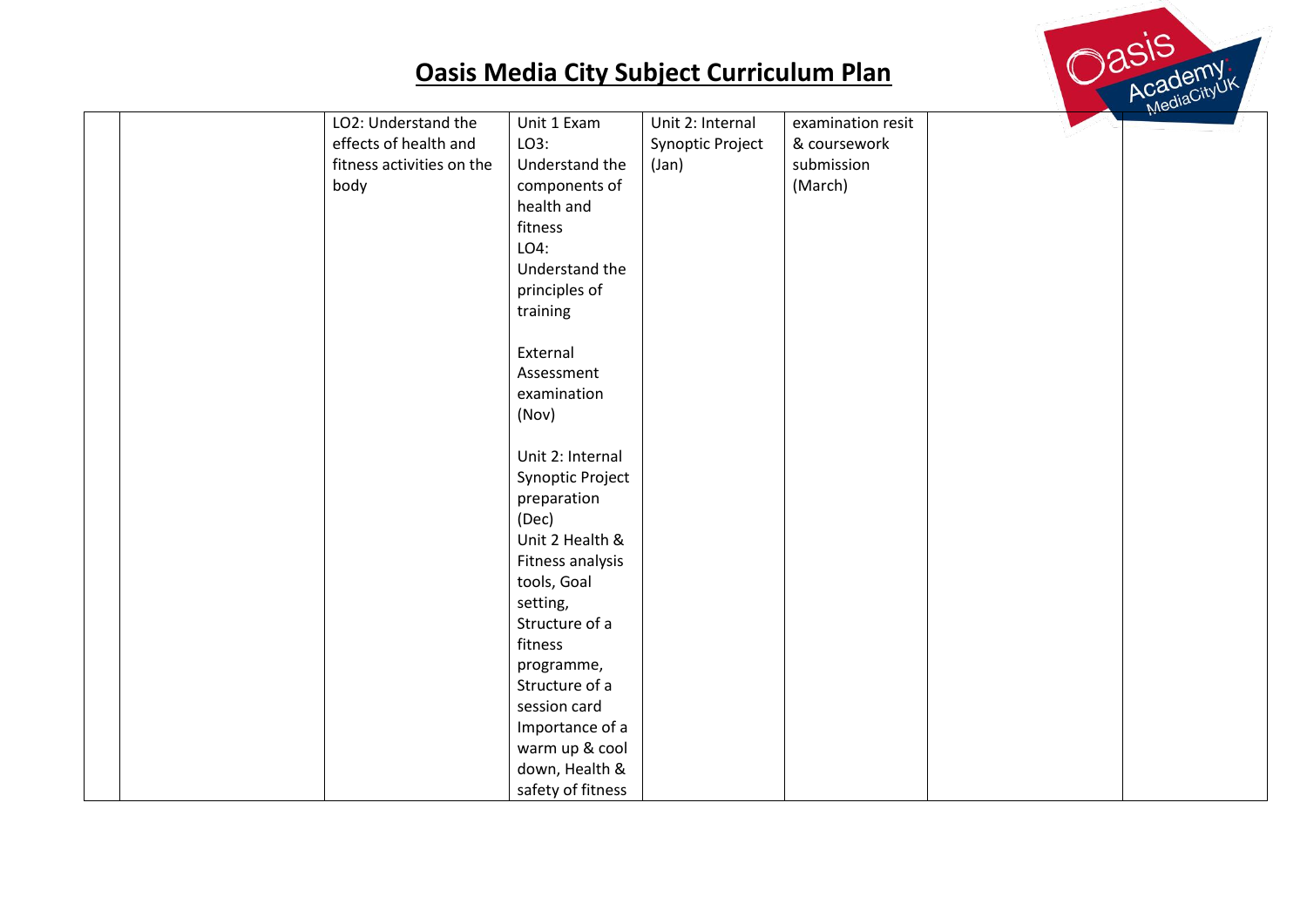

| LO2: Understand the       | Unit 1 Exam       | Unit 2: Internal | examination resit | $M_{\odot}$ |
|---------------------------|-------------------|------------------|-------------------|-------------|
| effects of health and     | LO3:              |                  | & coursework      |             |
|                           |                   | Synoptic Project |                   |             |
| fitness activities on the | Understand the    | (Jan)            | submission        |             |
| body                      | components of     |                  | (March)           |             |
|                           | health and        |                  |                   |             |
|                           | fitness           |                  |                   |             |
|                           | LO4:              |                  |                   |             |
|                           | Understand the    |                  |                   |             |
|                           | principles of     |                  |                   |             |
|                           | training          |                  |                   |             |
|                           |                   |                  |                   |             |
|                           | External          |                  |                   |             |
|                           | Assessment        |                  |                   |             |
|                           | examination       |                  |                   |             |
|                           | (Nov)             |                  |                   |             |
|                           |                   |                  |                   |             |
|                           | Unit 2: Internal  |                  |                   |             |
|                           | Synoptic Project  |                  |                   |             |
|                           | preparation       |                  |                   |             |
|                           | (Dec)             |                  |                   |             |
|                           | Unit 2 Health &   |                  |                   |             |
|                           | Fitness analysis  |                  |                   |             |
|                           | tools, Goal       |                  |                   |             |
|                           | setting,          |                  |                   |             |
|                           | Structure of a    |                  |                   |             |
|                           | fitness           |                  |                   |             |
|                           | programme,        |                  |                   |             |
|                           | Structure of a    |                  |                   |             |
|                           | session card      |                  |                   |             |
|                           | Importance of a   |                  |                   |             |
|                           | warm up & cool    |                  |                   |             |
|                           | down, Health &    |                  |                   |             |
|                           |                   |                  |                   |             |
|                           | safety of fitness |                  |                   |             |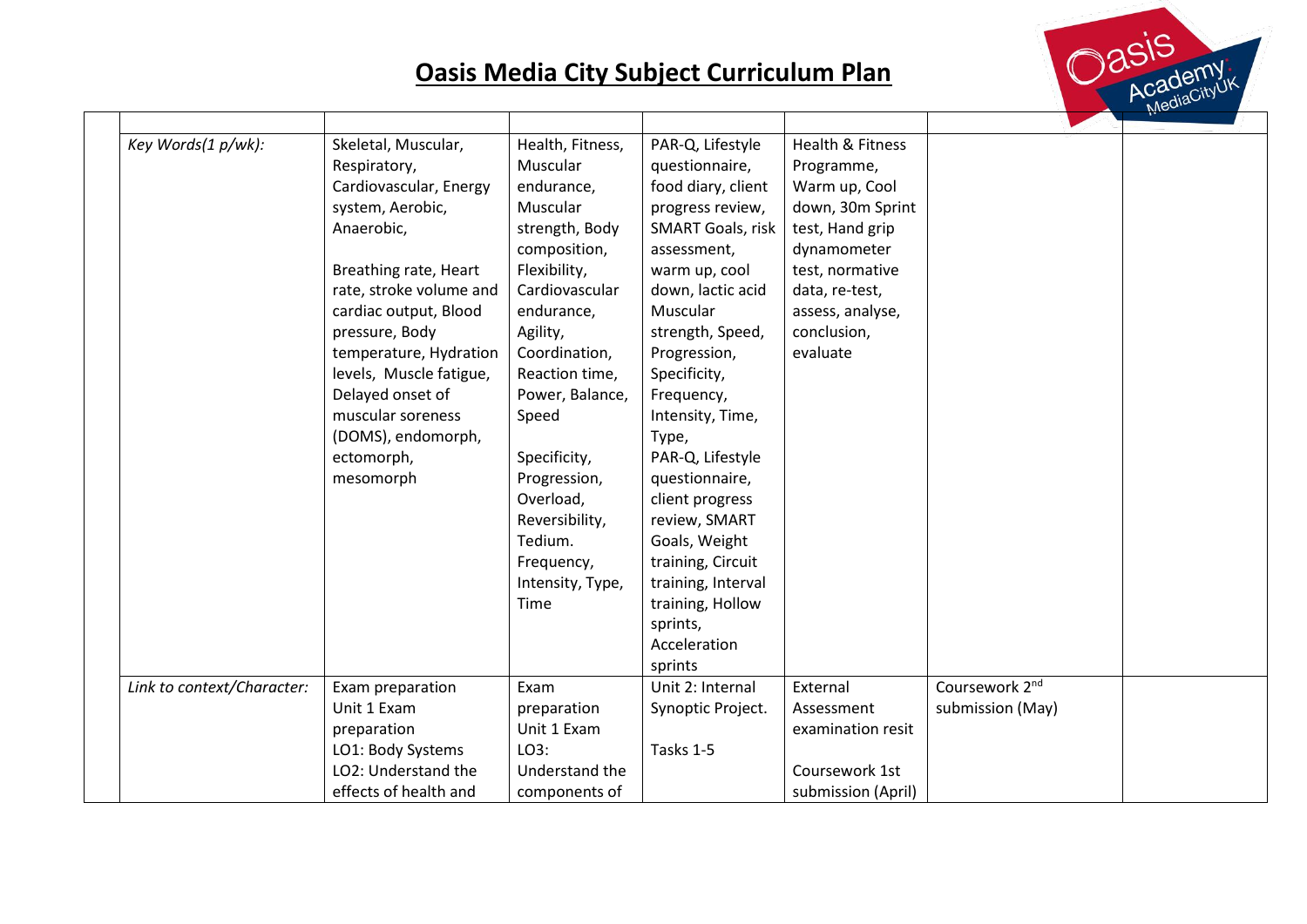

| Key Words(1 p/wk):         | Skeletal, Muscular,     | Health, Fitness, | PAR-Q, Lifestyle         | <b>Health &amp; Fitness</b> |                            |  |
|----------------------------|-------------------------|------------------|--------------------------|-----------------------------|----------------------------|--|
|                            | Respiratory,            | Muscular         | questionnaire,           | Programme,                  |                            |  |
|                            | Cardiovascular, Energy  | endurance,       | food diary, client       | Warm up, Cool               |                            |  |
|                            | system, Aerobic,        | Muscular         | progress review,         | down, 30m Sprint            |                            |  |
|                            | Anaerobic,              | strength, Body   | <b>SMART Goals, risk</b> | test, Hand grip             |                            |  |
|                            |                         | composition,     | assessment,              | dynamometer                 |                            |  |
|                            | Breathing rate, Heart   | Flexibility,     | warm up, cool            | test, normative             |                            |  |
|                            | rate, stroke volume and | Cardiovascular   | down, lactic acid        | data, re-test,              |                            |  |
|                            | cardiac output, Blood   | endurance,       | Muscular                 | assess, analyse,            |                            |  |
|                            | pressure, Body          | Agility,         | strength, Speed,         | conclusion,                 |                            |  |
|                            | temperature, Hydration  | Coordination,    | Progression,             | evaluate                    |                            |  |
|                            | levels, Muscle fatigue, | Reaction time,   | Specificity,             |                             |                            |  |
|                            | Delayed onset of        | Power, Balance,  | Frequency,               |                             |                            |  |
|                            | muscular soreness       | Speed            | Intensity, Time,         |                             |                            |  |
|                            | (DOMS), endomorph,      |                  | Type,                    |                             |                            |  |
|                            | ectomorph,              | Specificity,     | PAR-Q, Lifestyle         |                             |                            |  |
|                            | mesomorph               | Progression,     | questionnaire,           |                             |                            |  |
|                            |                         | Overload,        | client progress          |                             |                            |  |
|                            |                         | Reversibility,   | review, SMART            |                             |                            |  |
|                            |                         | Tedium.          | Goals, Weight            |                             |                            |  |
|                            |                         | Frequency,       | training, Circuit        |                             |                            |  |
|                            |                         | Intensity, Type, | training, Interval       |                             |                            |  |
|                            |                         | Time             | training, Hollow         |                             |                            |  |
|                            |                         |                  | sprints,                 |                             |                            |  |
|                            |                         |                  | Acceleration             |                             |                            |  |
|                            |                         |                  | sprints                  |                             |                            |  |
| Link to context/Character: | Exam preparation        | Exam             | Unit 2: Internal         | External                    | Coursework 2 <sup>nd</sup> |  |
|                            | Unit 1 Exam             | preparation      | Synoptic Project.        | Assessment                  | submission (May)           |  |
|                            | preparation             | Unit 1 Exam      |                          | examination resit           |                            |  |
|                            | LO1: Body Systems       | LO3:             | Tasks 1-5                |                             |                            |  |
|                            | LO2: Understand the     | Understand the   |                          | Coursework 1st              |                            |  |
|                            | effects of health and   | components of    |                          | submission (April)          |                            |  |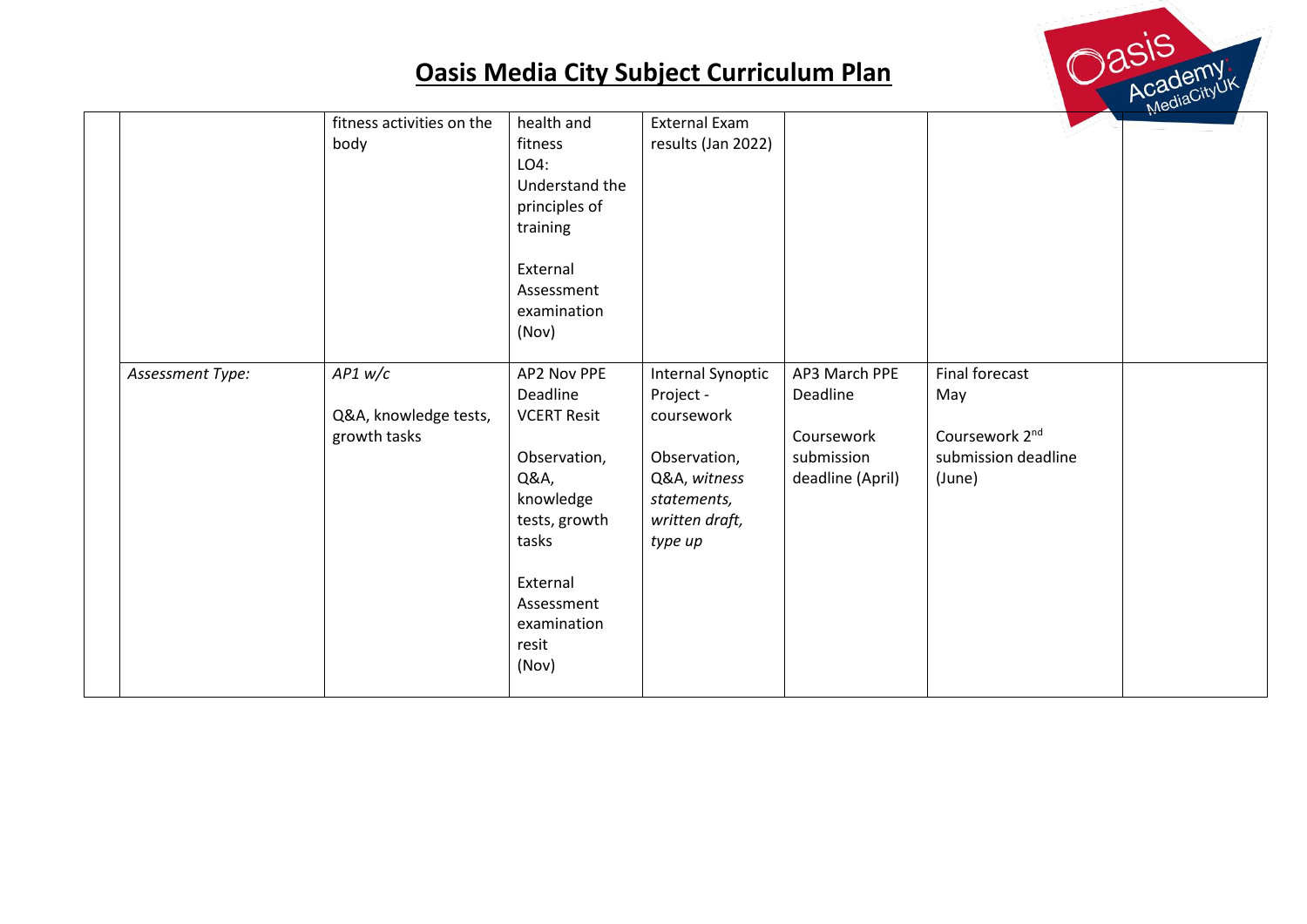

|                  |                           | health and         | <b>External Exam</b>     |                  |                            | $M_{\odot}$ |
|------------------|---------------------------|--------------------|--------------------------|------------------|----------------------------|-------------|
|                  | fitness activities on the |                    |                          |                  |                            |             |
|                  | body                      | fitness            | results (Jan 2022)       |                  |                            |             |
|                  |                           | LO4:               |                          |                  |                            |             |
|                  |                           | Understand the     |                          |                  |                            |             |
|                  |                           | principles of      |                          |                  |                            |             |
|                  |                           | training           |                          |                  |                            |             |
|                  |                           |                    |                          |                  |                            |             |
|                  |                           | External           |                          |                  |                            |             |
|                  |                           | Assessment         |                          |                  |                            |             |
|                  |                           | examination        |                          |                  |                            |             |
|                  |                           |                    |                          |                  |                            |             |
|                  |                           | (Nov)              |                          |                  |                            |             |
|                  |                           |                    |                          |                  |                            |             |
| Assessment Type: | $AP1$ w/c                 | AP2 Nov PPE        | <b>Internal Synoptic</b> | AP3 March PPE    | Final forecast             |             |
|                  |                           | Deadline           | Project -                | Deadline         | May                        |             |
|                  | Q&A, knowledge tests,     | <b>VCERT Resit</b> | coursework               |                  |                            |             |
|                  | growth tasks              |                    |                          | Coursework       | Coursework 2 <sup>nd</sup> |             |
|                  |                           | Observation,       | Observation,             | submission       | submission deadline        |             |
|                  |                           | Q&A,               | Q&A, witness             | deadline (April) | (June)                     |             |
|                  |                           | knowledge          | statements,              |                  |                            |             |
|                  |                           | tests, growth      | written draft,           |                  |                            |             |
|                  |                           | tasks              | type up                  |                  |                            |             |
|                  |                           |                    |                          |                  |                            |             |
|                  |                           | External           |                          |                  |                            |             |
|                  |                           |                    |                          |                  |                            |             |
|                  |                           | Assessment         |                          |                  |                            |             |
|                  |                           | examination        |                          |                  |                            |             |
|                  |                           | resit              |                          |                  |                            |             |
|                  |                           | (Nov)              |                          |                  |                            |             |
|                  |                           |                    |                          |                  |                            |             |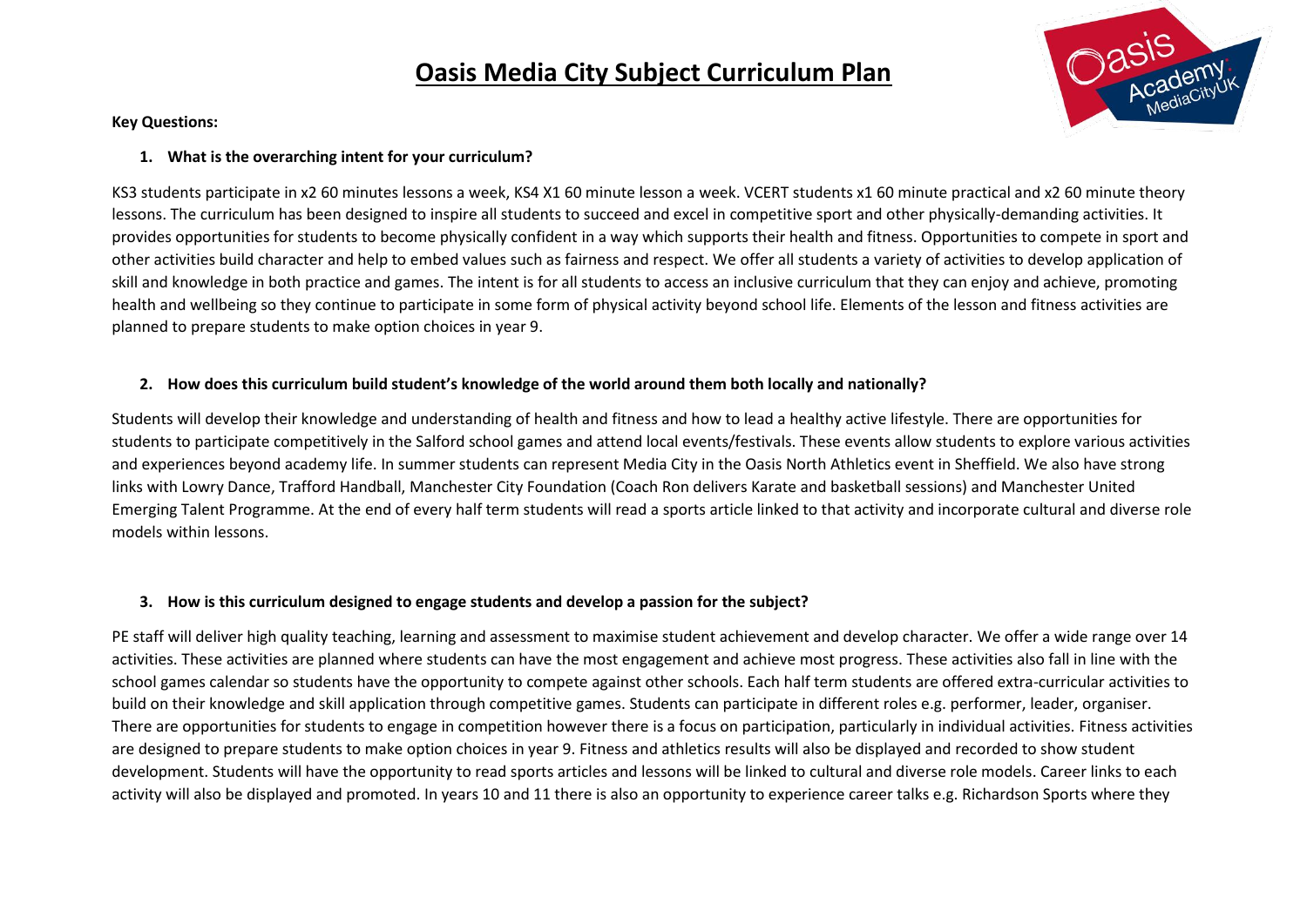

#### **Key Questions:**

#### **1. What is the overarching intent for your curriculum?**

KS3 students participate in x2 60 minutes lessons a week, KS4 X1 60 minute lesson a week. VCERT students x1 60 minute practical and x2 60 minute theory lessons. The curriculum has been designed to inspire all students to succeed and excel in competitive sport and other physically-demanding activities. It provides opportunities for students to become physically confident in a way which supports their health and fitness. Opportunities to compete in sport and other activities build character and help to embed values such as fairness and respect. We offer all students a variety of activities to develop application of skill and knowledge in both practice and games. The intent is for all students to access an inclusive curriculum that they can enjoy and achieve, promoting health and wellbeing so they continue to participate in some form of physical activity beyond school life. Elements of the lesson and fitness activities are planned to prepare students to make option choices in year 9.

#### **2. How does this curriculum build student's knowledge of the world around them both locally and nationally?**

Students will develop their knowledge and understanding of health and fitness and how to lead a healthy active lifestyle. There are opportunities for students to participate competitively in the Salford school games and attend local events/festivals. These events allow students to explore various activities and experiences beyond academy life. In summer students can represent Media City in the Oasis North Athletics event in Sheffield. We also have strong links with Lowry Dance, Trafford Handball, Manchester City Foundation (Coach Ron delivers Karate and basketball sessions) and Manchester United Emerging Talent Programme. At the end of every half term students will read a sports article linked to that activity and incorporate cultural and diverse role models within lessons.

#### **3. How is this curriculum designed to engage students and develop a passion for the subject?**

PE staff will deliver high quality teaching, learning and assessment to maximise student achievement and develop character. We offer a wide range over 14 activities. These activities are planned where students can have the most engagement and achieve most progress. These activities also fall in line with the school games calendar so students have the opportunity to compete against other schools. Each half term students are offered extra-curricular activities to build on their knowledge and skill application through competitive games. Students can participate in different roles e.g. performer, leader, organiser. There are opportunities for students to engage in competition however there is a focus on participation, particularly in individual activities. Fitness activities are designed to prepare students to make option choices in year 9. Fitness and athletics results will also be displayed and recorded to show student development. Students will have the opportunity to read sports articles and lessons will be linked to cultural and diverse role models. Career links to each activity will also be displayed and promoted. In years 10 and 11 there is also an opportunity to experience career talks e.g. Richardson Sports where they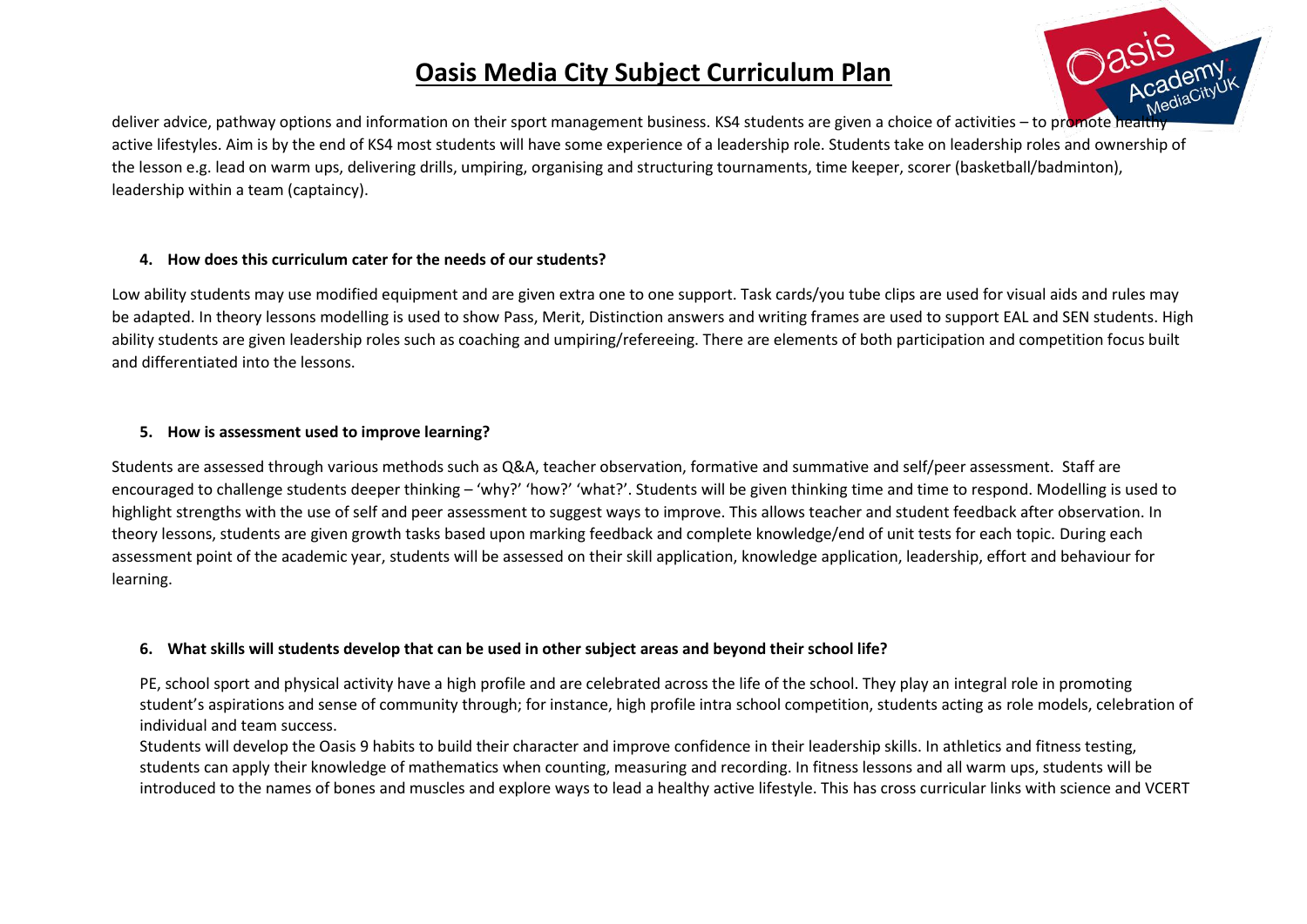

deliver advice, pathway options and information on their sport management business. KS4 students are given a choice of activities – to promote healthy active lifestyles. Aim is by the end of KS4 most students will have some experience of a leadership role. Students take on leadership roles and ownership of the lesson e.g. lead on warm ups, delivering drills, umpiring, organising and structuring tournaments, time keeper, scorer (basketball/badminton), leadership within a team (captaincy).

#### **4. How does this curriculum cater for the needs of our students?**

Low ability students may use modified equipment and are given extra one to one support. Task cards/you tube clips are used for visual aids and rules may be adapted. In theory lessons modelling is used to show Pass, Merit, Distinction answers and writing frames are used to support EAL and SEN students. High ability students are given leadership roles such as coaching and umpiring/refereeing. There are elements of both participation and competition focus built and differentiated into the lessons.

#### **5. How is assessment used to improve learning?**

Students are assessed through various methods such as Q&A, teacher observation, formative and summative and self/peer assessment. Staff are encouraged to challenge students deeper thinking – 'why?' 'how?' 'what?'. Students will be given thinking time and time to respond. Modelling is used to highlight strengths with the use of self and peer assessment to suggest ways to improve. This allows teacher and student feedback after observation. In theory lessons, students are given growth tasks based upon marking feedback and complete knowledge/end of unit tests for each topic. During each assessment point of the academic year, students will be assessed on their skill application, knowledge application, leadership, effort and behaviour for learning.

#### **6. What skills will students develop that can be used in other subject areas and beyond their school life?**

PE, school sport and physical activity have a high profile and are celebrated across the life of the school. They play an integral role in promoting student's aspirations and sense of community through; for instance, high profile intra school competition, students acting as role models, celebration of individual and team success.

Students will develop the Oasis 9 habits to build their character and improve confidence in their leadership skills. In athletics and fitness testing, students can apply their knowledge of mathematics when counting, measuring and recording. In fitness lessons and all warm ups, students will be introduced to the names of bones and muscles and explore ways to lead a healthy active lifestyle. This has cross curricular links with science and VCERT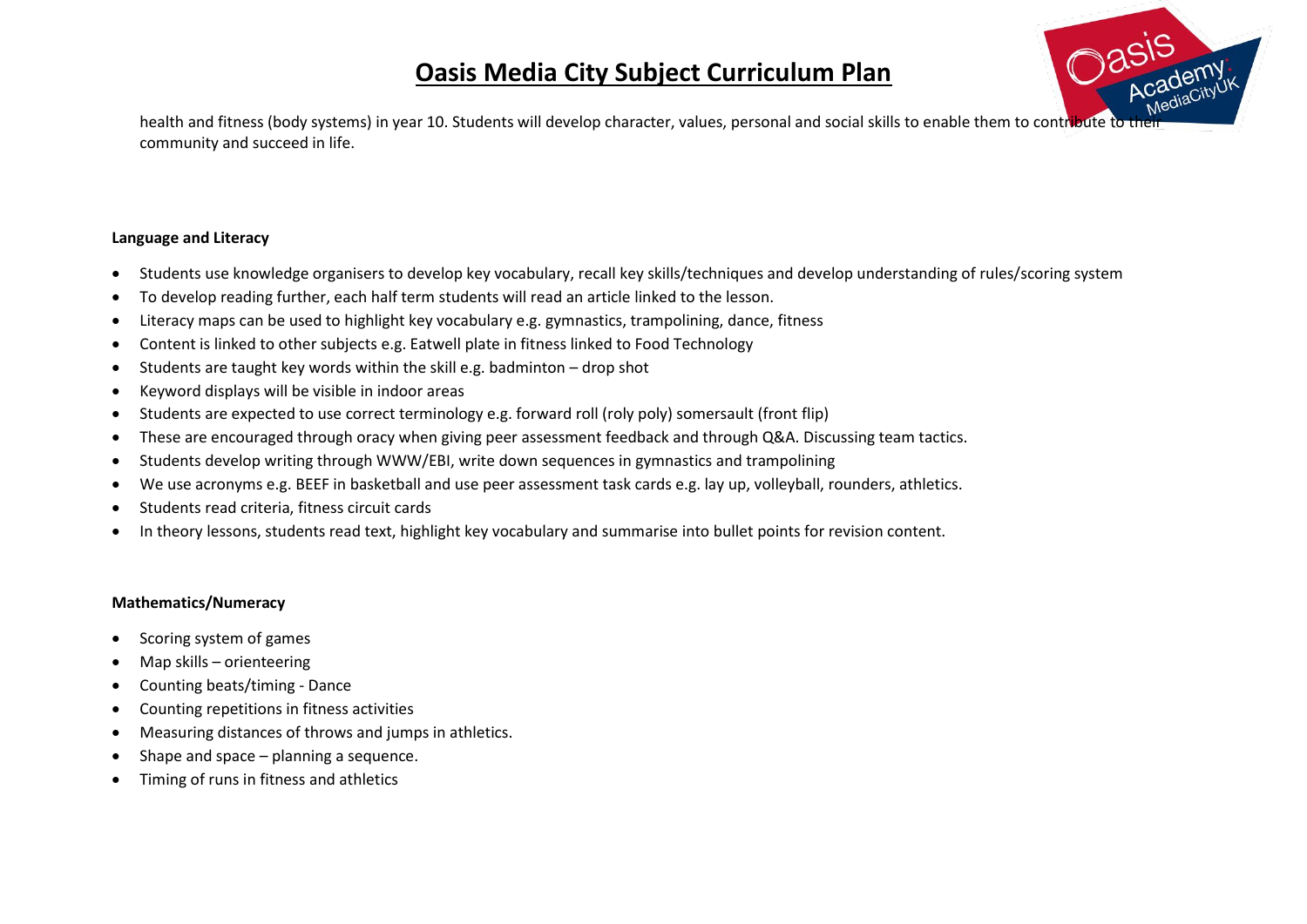

health and fitness (body systems) in year 10. Students will develop character, values, personal and social skills to enable them to contribute to the community and succeed in life.

#### **Language and Literacy**

- Students use knowledge organisers to develop key vocabulary, recall key skills/techniques and develop understanding of rules/scoring system
- To develop reading further, each half term students will read an article linked to the lesson.
- Literacy maps can be used to highlight key vocabulary e.g. gymnastics, trampolining, dance, fitness
- Content is linked to other subjects e.g. Eatwell plate in fitness linked to Food Technology
- Students are taught key words within the skill e.g. badminton drop shot
- Keyword displays will be visible in indoor areas
- Students are expected to use correct terminology e.g. forward roll (roly poly) somersault (front flip)
- These are encouraged through oracy when giving peer assessment feedback and through Q&A. Discussing team tactics.
- Students develop writing through WWW/EBI, write down sequences in gymnastics and trampolining
- We use acronyms e.g. BEEF in basketball and use peer assessment task cards e.g. lay up, volleyball, rounders, athletics.
- Students read criteria, fitness circuit cards
- In theory lessons, students read text, highlight key vocabulary and summarise into bullet points for revision content.

#### **Mathematics/Numeracy**

- Scoring system of games
- Map skills orienteering
- Counting beats/timing Dance
- Counting repetitions in fitness activities
- Measuring distances of throws and jumps in athletics.
- Shape and space planning a sequence.
- Timing of runs in fitness and athletics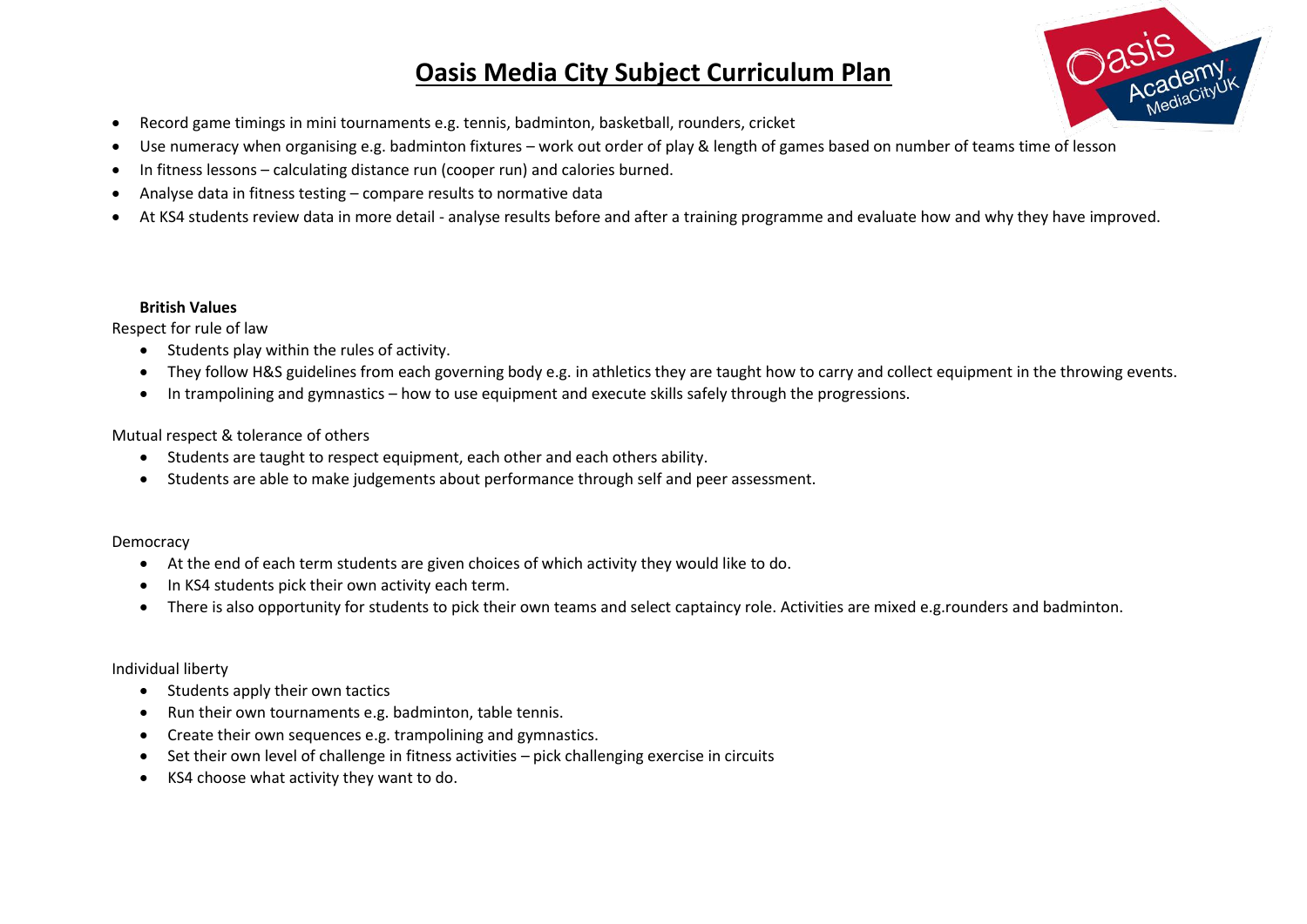

- Record game timings in mini tournaments e.g. tennis, badminton, basketball, rounders, cricket
- Use numeracy when organising e.g. badminton fixtures work out order of play & length of games based on number of teams time of lesson
- In fitness lessons calculating distance run (cooper run) and calories burned.
- Analyse data in fitness testing compare results to normative data
- At KS4 students review data in more detail analyse results before and after a training programme and evaluate how and why they have improved.

#### **British Values**

Respect for rule of law

- Students play within the rules of activity.
- They follow H&S guidelines from each governing body e.g. in athletics they are taught how to carry and collect equipment in the throwing events.
- In trampolining and gymnastics how to use equipment and execute skills safely through the progressions.

#### Mutual respect & tolerance of others

- Students are taught to respect equipment, each other and each others ability.
- Students are able to make judgements about performance through self and peer assessment.

#### Democracy

- At the end of each term students are given choices of which activity they would like to do.
- In KS4 students pick their own activity each term.
- There is also opportunity for students to pick their own teams and select captaincy role. Activities are mixed e.g.rounders and badminton.

#### Individual liberty

- Students apply their own tactics
- Run their own tournaments e.g. badminton, table tennis.
- Create their own sequences e.g. trampolining and gymnastics.
- Set their own level of challenge in fitness activities pick challenging exercise in circuits
- KS4 choose what activity they want to do.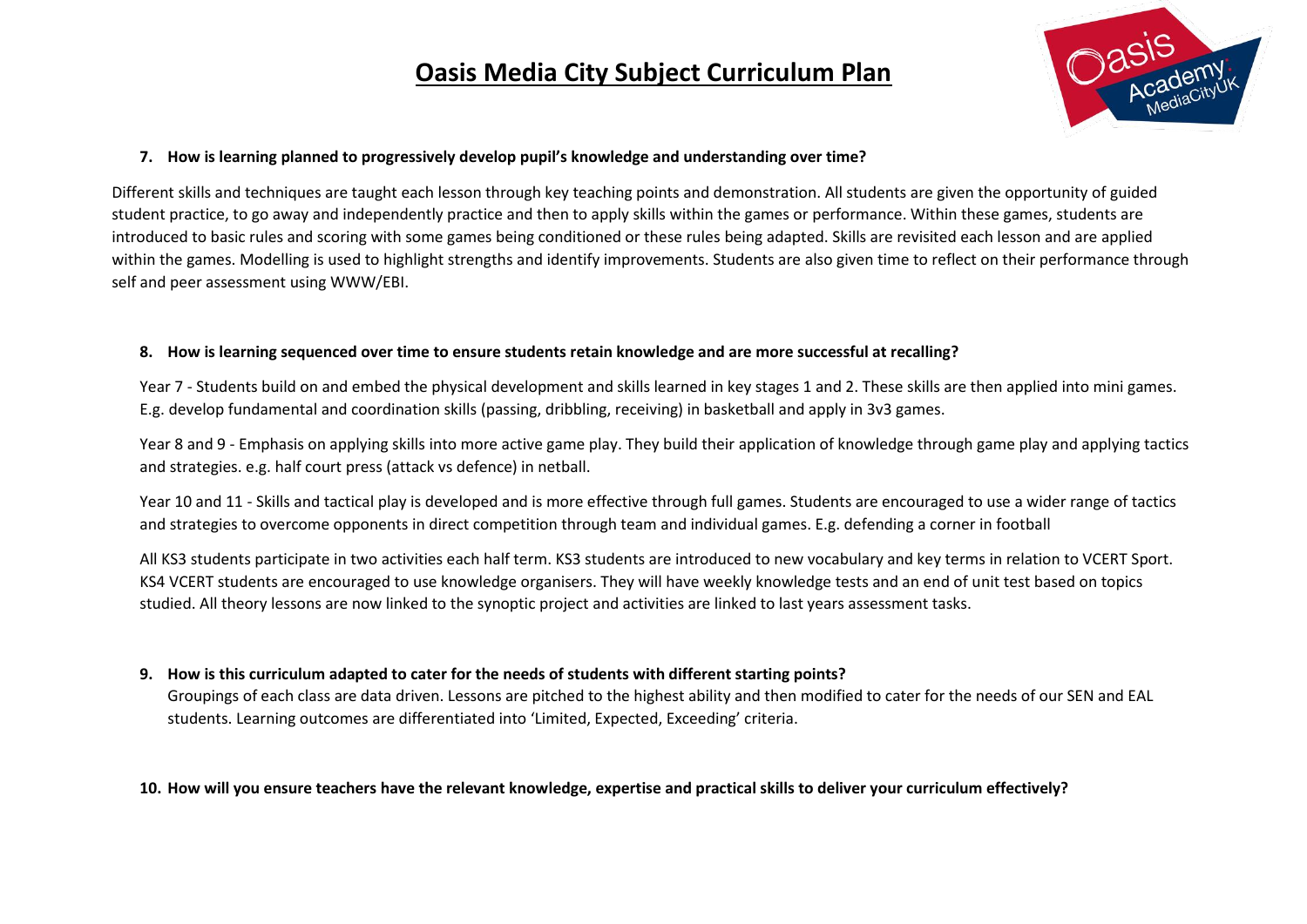

#### **7. How is learning planned to progressively develop pupil's knowledge and understanding over time?**

Different skills and techniques are taught each lesson through key teaching points and demonstration. All students are given the opportunity of guided student practice, to go away and independently practice and then to apply skills within the games or performance. Within these games, students are introduced to basic rules and scoring with some games being conditioned or these rules being adapted. Skills are revisited each lesson and are applied within the games. Modelling is used to highlight strengths and identify improvements. Students are also given time to reflect on their performance through self and peer assessment using WWW/EBI.

#### **8. How is learning sequenced over time to ensure students retain knowledge and are more successful at recalling?**

Year 7 - Students build on and embed the physical development and skills learned in key stages 1 and 2. These skills are then applied into mini games. E.g. develop fundamental and coordination skills (passing, dribbling, receiving) in basketball and apply in 3v3 games.

Year 8 and 9 - Emphasis on applying skills into more active game play. They build their application of knowledge through game play and applying tactics and strategies. e.g. half court press (attack vs defence) in netball.

Year 10 and 11 - Skills and tactical play is developed and is more effective through full games. Students are encouraged to use a wider range of tactics and strategies to overcome opponents in direct competition through team and individual games. E.g. defending a corner in football

All KS3 students participate in two activities each half term. KS3 students are introduced to new vocabulary and key terms in relation to VCERT Sport. KS4 VCERT students are encouraged to use knowledge organisers. They will have weekly knowledge tests and an end of unit test based on topics studied. All theory lessons are now linked to the synoptic project and activities are linked to last years assessment tasks.

#### **9. How is this curriculum adapted to cater for the needs of students with different starting points?**

Groupings of each class are data driven. Lessons are pitched to the highest ability and then modified to cater for the needs of our SEN and EAL students. Learning outcomes are differentiated into 'Limited, Expected, Exceeding' criteria.

#### **10. How will you ensure teachers have the relevant knowledge, expertise and practical skills to deliver your curriculum effectively?**